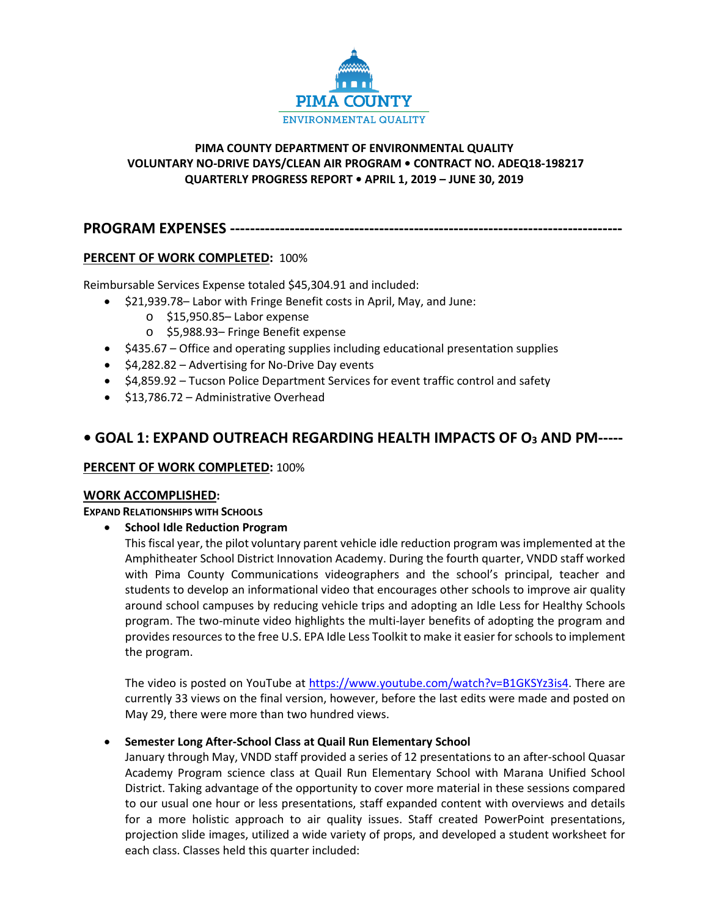

# **PIMA COUNTY DEPARTMENT OF ENVIRONMENTAL QUALITY VOLUNTARY NO-DRIVE DAYS/CLEAN AIR PROGRAM • CONTRACT NO. ADEQ18-198217 QUARTERLY PROGRESS REPORT • APRIL 1, 2019 – JUNE 30, 2019**

**PROGRAM EXPENSES -------------------------------------------------------------------------------**

# **PERCENT OF WORK COMPLETED:** 100%

Reimbursable Services Expense totaled \$45,304.91 and included:

- \$21,939.78– Labor with Fringe Benefit costs in April, May, and June:
	- o \$15,950.85– Labor expense
	- o \$5,988.93– Fringe Benefit expense
- \$435.67 Office and operating supplies including educational presentation supplies
- \$4,282.82 Advertising for No-Drive Day events
- \$4,859.92 Tucson Police Department Services for event traffic control and safety
- \$13,786.72 Administrative Overhead

# **• GOAL 1: EXPAND OUTREACH REGARDING HEALTH IMPACTS OF O3 AND PM-----**

# **PERCENT OF WORK COMPLETED:** 100%

# **WORK ACCOMPLISHED:**

**EXPAND RELATIONSHIPS WITH SCHOOLS** 

• **School Idle Reduction Program**

This fiscal year, the pilot voluntary parent vehicle idle reduction program was implemented at the Amphitheater School District Innovation Academy. During the fourth quarter, VNDD staff worked with Pima County Communications videographers and the school's principal, teacher and students to develop an informational video that encourages other schools to improve air quality around school campuses by reducing vehicle trips and adopting an Idle Less for Healthy Schools program. The two-minute video highlights the multi-layer benefits of adopting the program and provides resources to the free U.S. EPA Idle Less Toolkit to make it easier for schools to implement the program.

The video is posted on YouTube a[t https://www.youtube.com/watch?v=B1GKSYz3is4.](https://www.youtube.com/watch?v=B1GKSYz3is4) There are currently 33 views on the final version, however, before the last edits were made and posted on May 29, there were more than two hundred views.

# • **Semester Long After-School Class at Quail Run Elementary School**

January through May, VNDD staff provided a series of 12 presentations to an after-school Quasar Academy Program science class at Quail Run Elementary School with Marana Unified School District. Taking advantage of the opportunity to cover more material in these sessions compared to our usual one hour or less presentations, staff expanded content with overviews and details for a more holistic approach to air quality issues. Staff created PowerPoint presentations, projection slide images, utilized a wide variety of props, and developed a student worksheet for each class. Classes held this quarter included: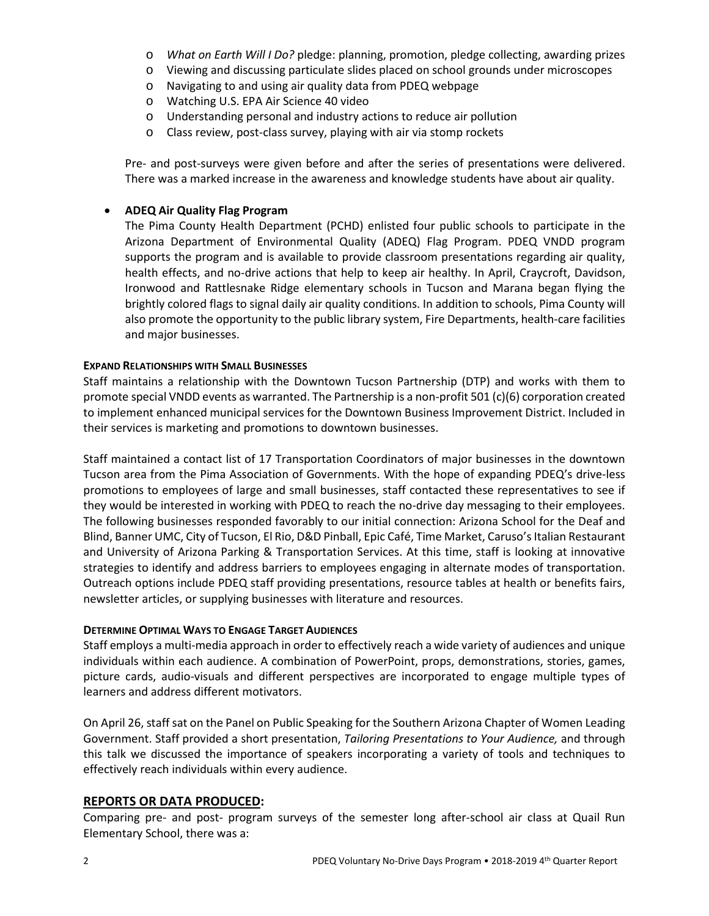- o *What on Earth Will I Do?* pledge: planning, promotion, pledge collecting, awarding prizes
- o Viewing and discussing particulate slides placed on school grounds under microscopes
- o Navigating to and using air quality data from PDEQ webpage
- o Watching U.S. EPA Air Science 40 video
- o Understanding personal and industry actions to reduce air pollution
- o Class review, post-class survey, playing with air via stomp rockets

Pre- and post-surveys were given before and after the series of presentations were delivered. There was a marked increase in the awareness and knowledge students have about air quality.

# • **ADEQ Air Quality Flag Program**

The Pima County Health Department (PCHD) enlisted four public schools to participate in the Arizona Department of Environmental Quality (ADEQ) Flag Program. PDEQ VNDD program supports the program and is available to provide classroom presentations regarding air quality, health effects, and no-drive actions that help to keep air healthy. In April, Craycroft, Davidson, Ironwood and Rattlesnake Ridge elementary schools in Tucson and Marana began flying the brightly colored flags to signal daily air quality conditions. In addition to schools, Pima County will also promote the opportunity to the public library system, Fire Departments, health-care facilities and major businesses.

# **EXPAND RELATIONSHIPS WITH SMALL BUSINESSES**

Staff maintains a relationship with the Downtown Tucson Partnership (DTP) and works with them to promote special VNDD events as warranted. The Partnership is a non-profit 501 (c)(6) corporation created to implement enhanced municipal services for the Downtown Business Improvement District. Included in their services is marketing and promotions to downtown businesses.

Staff maintained a contact list of 17 Transportation Coordinators of major businesses in the downtown Tucson area from the Pima Association of Governments. With the hope of expanding PDEQ's drive-less promotions to employees of large and small businesses, staff contacted these representatives to see if they would be interested in working with PDEQ to reach the no-drive day messaging to their employees. The following businesses responded favorably to our initial connection: Arizona School for the Deaf and Blind, Banner UMC, City of Tucson, El Rio, D&D Pinball, Epic Café, Time Market, Caruso's Italian Restaurant and University of Arizona Parking & Transportation Services. At this time, staff is looking at innovative strategies to identify and address barriers to employees engaging in alternate modes of transportation. Outreach options include PDEQ staff providing presentations, resource tables at health or benefits fairs, newsletter articles, or supplying businesses with literature and resources.

# **DETERMINE OPTIMAL WAYS TO ENGAGE TARGET AUDIENCES**

Staff employs a multi-media approach in order to effectively reach a wide variety of audiences and unique individuals within each audience. A combination of PowerPoint, props, demonstrations, stories, games, picture cards, audio-visuals and different perspectives are incorporated to engage multiple types of learners and address different motivators.

On April 26, staff sat on the Panel on Public Speaking for the Southern Arizona Chapter of Women Leading Government. Staff provided a short presentation, *Tailoring Presentations to Your Audience,* and through this talk we discussed the importance of speakers incorporating a variety of tools and techniques to effectively reach individuals within every audience.

# **REPORTS OR DATA PRODUCED:**

Comparing pre- and post- program surveys of the semester long after-school air class at Quail Run Elementary School, there was a: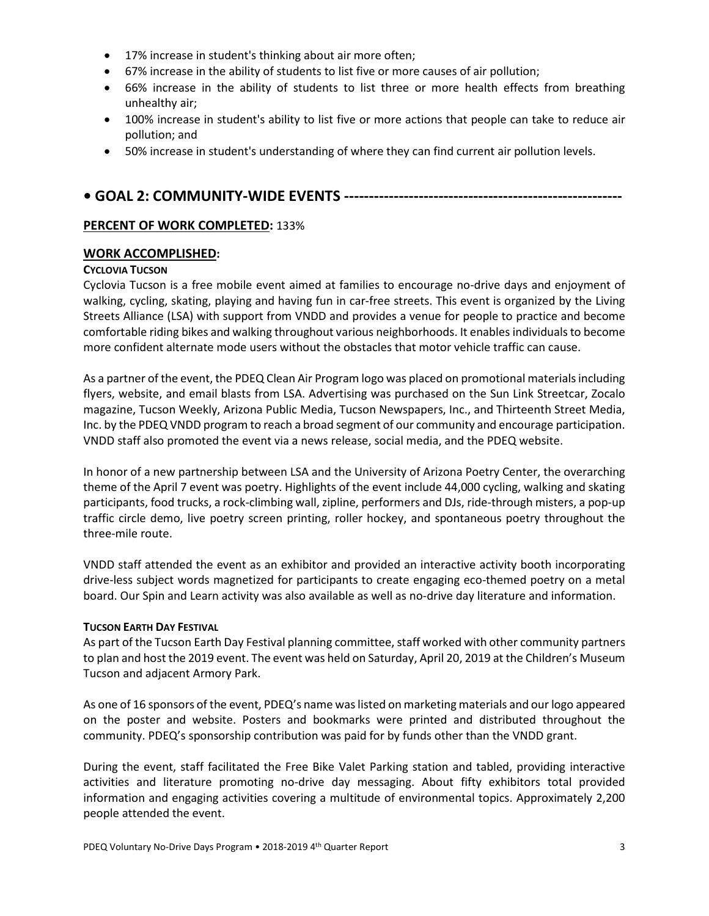- 17% increase in student's thinking about air more often;
- 67% increase in the ability of students to list five or more causes of air pollution;
- 66% increase in the ability of students to list three or more health effects from breathing unhealthy air;
- 100% increase in student's ability to list five or more actions that people can take to reduce air pollution; and
- 50% increase in student's understanding of where they can find current air pollution levels.

# **• GOAL 2: COMMUNITY-WIDE EVENTS --------------------------------------------------------**

# **PERCENT OF WORK COMPLETED:** 133%

# **WORK ACCOMPLISHED:**

# **CYCLOVIA TUCSON**

Cyclovia Tucson is a free mobile event aimed at families to encourage no-drive days and enjoyment of walking, cycling, skating, playing and having fun in car-free streets. This event is organized by the Living Streets Alliance (LSA) with support from VNDD and provides a venue for people to practice and become comfortable riding bikes and walking throughout various neighborhoods. It enables individuals to become more confident alternate mode users without the obstacles that motor vehicle traffic can cause.

As a partner of the event, the PDEQ Clean Air Program logo was placed on promotional materials including flyers, website, and email blasts from LSA. Advertising was purchased on the Sun Link Streetcar, Zocalo magazine, Tucson Weekly, Arizona Public Media, Tucson Newspapers, Inc., and Thirteenth Street Media, Inc. by the PDEQ VNDD program to reach a broad segment of our community and encourage participation. VNDD staff also promoted the event via a news release, social media, and the PDEQ website.

In honor of a new partnership between LSA and the University of Arizona Poetry Center, the overarching theme of the April 7 event was poetry. Highlights of the event include 44,000 cycling, walking and skating participants, food trucks, a rock-climbing wall, zipline, performers and DJs, ride-through misters, a pop-up traffic circle demo, live poetry screen printing, roller hockey, and spontaneous poetry throughout the three-mile route.

VNDD staff attended the event as an exhibitor and provided an interactive activity booth incorporating drive-less subject words magnetized for participants to create engaging eco-themed poetry on a metal board. Our Spin and Learn activity was also available as well as no-drive day literature and information.

# **TUCSON EARTH DAY FESTIVAL**

As part of the Tucson Earth Day Festival planning committee, staff worked with other community partners to plan and host the 2019 event. The event was held on Saturday, April 20, 2019 at the Children's Museum Tucson and adjacent Armory Park.

As one of 16 sponsors of the event, PDEQ's name was listed on marketing materials and our logo appeared on the poster and website. Posters and bookmarks were printed and distributed throughout the community. PDEQ's sponsorship contribution was paid for by funds other than the VNDD grant.

During the event, staff facilitated the Free Bike Valet Parking station and tabled, providing interactive activities and literature promoting no-drive day messaging. About fifty exhibitors total provided information and engaging activities covering a multitude of environmental topics. Approximately 2,200 people attended the event.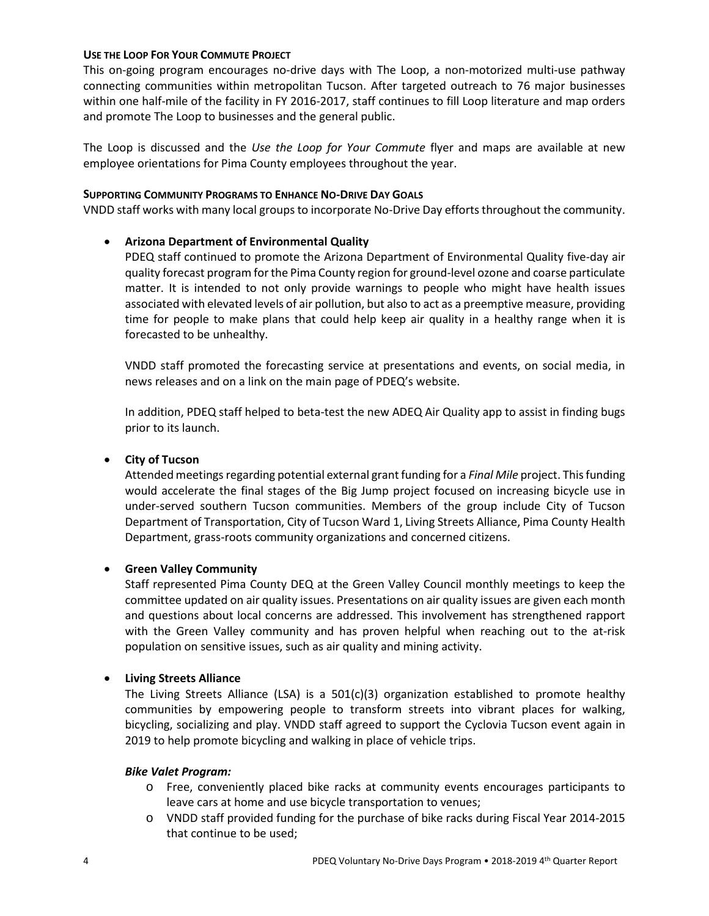#### **USE THE LOOP FOR YOUR COMMUTE PROJECT**

This on-going program encourages no-drive days with The Loop, a non-motorized multi-use pathway connecting communities within metropolitan Tucson. After targeted outreach to 76 major businesses within one half-mile of the facility in FY 2016-2017, staff continues to fill Loop literature and map orders and promote The Loop to businesses and the general public.

The Loop is discussed and the *Use the Loop for Your Commute* flyer and maps are available at new employee orientations for Pima County employees throughout the year.

#### **SUPPORTING COMMUNITY PROGRAMS TO ENHANCE NO-DRIVE DAY GOALS**

VNDD staff works with many local groups to incorporate No-Drive Day efforts throughout the community.

# • **Arizona Department of Environmental Quality**

PDEQ staff continued to promote the Arizona Department of Environmental Quality five-day air quality forecast program for the Pima County region for ground-level ozone and coarse particulate matter. It is intended to not only provide warnings to people who might have health issues associated with elevated levels of air pollution, but also to act as a preemptive measure, providing time for people to make plans that could help keep air quality in a healthy range when it is forecasted to be unhealthy.

VNDD staff promoted the forecasting service at presentations and events, on social media, in news releases and on a link on the main page of PDEQ's website.

In addition, PDEQ staff helped to beta-test the new ADEQ Air Quality app to assist in finding bugs prior to its launch.

# • **City of Tucson**

Attended meetings regarding potential external grant funding for a *Final Mile* project. This funding would accelerate the final stages of the Big Jump project focused on increasing bicycle use in under-served southern Tucson communities. Members of the group include City of Tucson Department of Transportation, City of Tucson Ward 1, Living Streets Alliance, Pima County Health Department, grass-roots community organizations and concerned citizens.

# • **Green Valley Community**

Staff represented Pima County DEQ at the Green Valley Council monthly meetings to keep the committee updated on air quality issues. Presentations on air quality issues are given each month and questions about local concerns are addressed. This involvement has strengthened rapport with the Green Valley community and has proven helpful when reaching out to the at-risk population on sensitive issues, such as air quality and mining activity.

# • **Living Streets Alliance**

The Living Streets Alliance (LSA) is a  $501(c)(3)$  organization established to promote healthy communities by empowering people to transform streets into vibrant places for walking, bicycling, socializing and play. VNDD staff agreed to support the Cyclovia Tucson event again in 2019 to help promote bicycling and walking in place of vehicle trips.

#### *Bike Valet Program:*

- o Free, conveniently placed bike racks at community events encourages participants to leave cars at home and use bicycle transportation to venues;
- o VNDD staff provided funding for the purchase of bike racks during Fiscal Year 2014-2015 that continue to be used;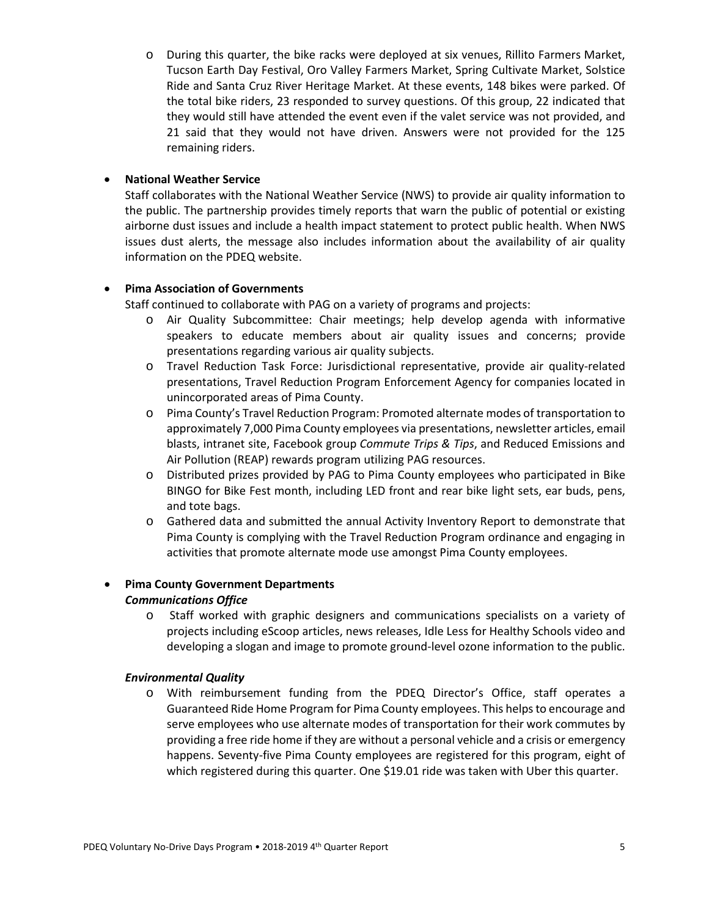o During this quarter, the bike racks were deployed at six venues, Rillito Farmers Market, Tucson Earth Day Festival, Oro Valley Farmers Market, Spring Cultivate Market, Solstice Ride and Santa Cruz River Heritage Market. At these events, 148 bikes were parked. Of the total bike riders, 23 responded to survey questions. Of this group, 22 indicated that they would still have attended the event even if the valet service was not provided, and 21 said that they would not have driven. Answers were not provided for the 125 remaining riders.

# • **National Weather Service**

Staff collaborates with the National Weather Service (NWS) to provide air quality information to the public. The partnership provides timely reports that warn the public of potential or existing airborne dust issues and include a health impact statement to protect public health. When NWS issues dust alerts, the message also includes information about the availability of air quality information on the PDEQ website.

# • **Pima Association of Governments**

Staff continued to collaborate with PAG on a variety of programs and projects:

- o Air Quality Subcommittee: Chair meetings; help develop agenda with informative speakers to educate members about air quality issues and concerns; provide presentations regarding various air quality subjects.
- o Travel Reduction Task Force: Jurisdictional representative, provide air quality-related presentations, Travel Reduction Program Enforcement Agency for companies located in unincorporated areas of Pima County.
- o Pima County's Travel Reduction Program: Promoted alternate modes of transportation to approximately 7,000 Pima County employees via presentations, newsletter articles, email blasts, intranet site, Facebook group *Commute Trips & Tips*, and Reduced Emissions and Air Pollution (REAP) rewards program utilizing PAG resources.
- o Distributed prizes provided by PAG to Pima County employees who participated in Bike BINGO for Bike Fest month, including LED front and rear bike light sets, ear buds, pens, and tote bags.
- o Gathered data and submitted the annual Activity Inventory Report to demonstrate that Pima County is complying with the Travel Reduction Program ordinance and engaging in activities that promote alternate mode use amongst Pima County employees.

# • **Pima County Government Departments**  *Communications Office*

o Staff worked with graphic designers and communications specialists on a variety of projects including eScoop articles, news releases, Idle Less for Healthy Schools video and developing a slogan and image to promote ground-level ozone information to the public.

# *Environmental Quality*

o With reimbursement funding from the PDEQ Director's Office, staff operates a Guaranteed Ride Home Program for Pima County employees. This helps to encourage and serve employees who use alternate modes of transportation for their work commutes by providing a free ride home if they are without a personal vehicle and a crisis or emergency happens. Seventy-five Pima County employees are registered for this program, eight of which registered during this quarter. One \$19.01 ride was taken with Uber this quarter.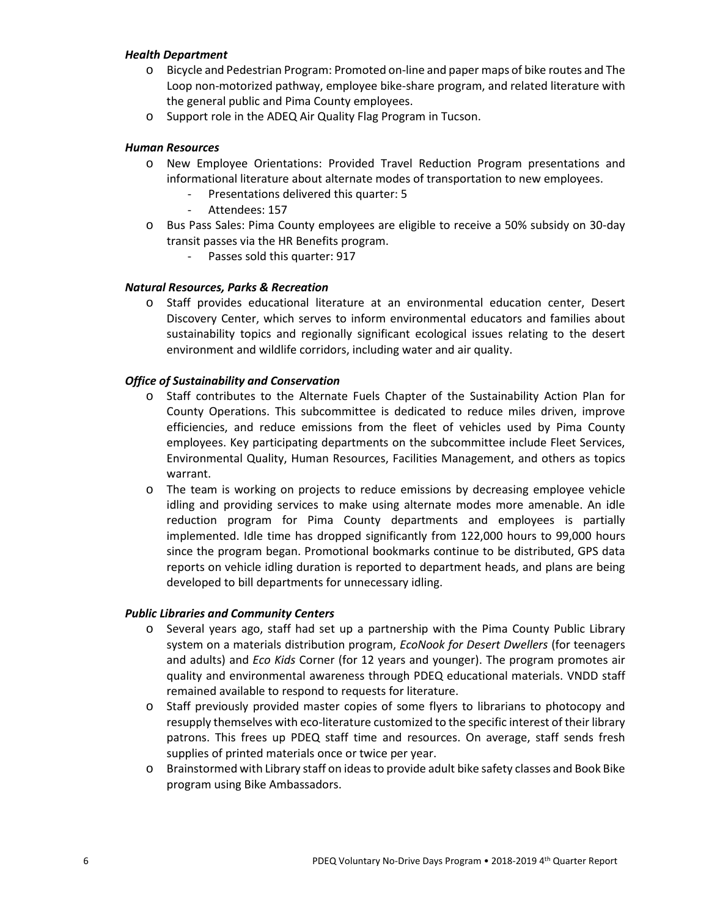#### *Health Department*

- o Bicycle and Pedestrian Program: Promoted on-line and paper maps of bike routes and The Loop non-motorized pathway, employee bike-share program, and related literature with the general public and Pima County employees.
- o Support role in the ADEQ Air Quality Flag Program in Tucson.

#### *Human Resources*

- o New Employee Orientations: Provided Travel Reduction Program presentations and informational literature about alternate modes of transportation to new employees.
	- Presentations delivered this quarter: 5
	- Attendees: 157
- o Bus Pass Sales: Pima County employees are eligible to receive a 50% subsidy on 30-day transit passes via the HR Benefits program.
	- Passes sold this quarter: 917

#### *Natural Resources, Parks & Recreation*

o Staff provides educational literature at an environmental education center, Desert Discovery Center, which serves to inform environmental educators and families about sustainability topics and regionally significant ecological issues relating to the desert environment and wildlife corridors, including water and air quality.

#### *Office of Sustainability and Conservation*

- o Staff contributes to the Alternate Fuels Chapter of the Sustainability Action Plan for County Operations. This subcommittee is dedicated to reduce miles driven, improve efficiencies, and reduce emissions from the fleet of vehicles used by Pima County employees. Key participating departments on the subcommittee include Fleet Services, Environmental Quality, Human Resources, Facilities Management, and others as topics warrant.
- o The team is working on projects to reduce emissions by decreasing employee vehicle idling and providing services to make using alternate modes more amenable. An idle reduction program for Pima County departments and employees is partially implemented. Idle time has dropped significantly from 122,000 hours to 99,000 hours since the program began. Promotional bookmarks continue to be distributed, GPS data reports on vehicle idling duration is reported to department heads, and plans are being developed to bill departments for unnecessary idling.

#### *Public Libraries and Community Centers*

- o Several years ago, staff had set up a partnership with the Pima County Public Library system on a materials distribution program, *EcoNook for Desert Dwellers* (for teenagers and adults) and *Eco Kids* Corner (for 12 years and younger). The program promotes air quality and environmental awareness through PDEQ educational materials. VNDD staff remained available to respond to requests for literature.
- o Staff previously provided master copies of some flyers to librarians to photocopy and resupply themselves with eco-literature customized to the specific interest of their library patrons. This frees up PDEQ staff time and resources. On average, staff sends fresh supplies of printed materials once or twice per year.
- o Brainstormed with Library staff on ideas to provide adult bike safety classes and Book Bike program using Bike Ambassadors.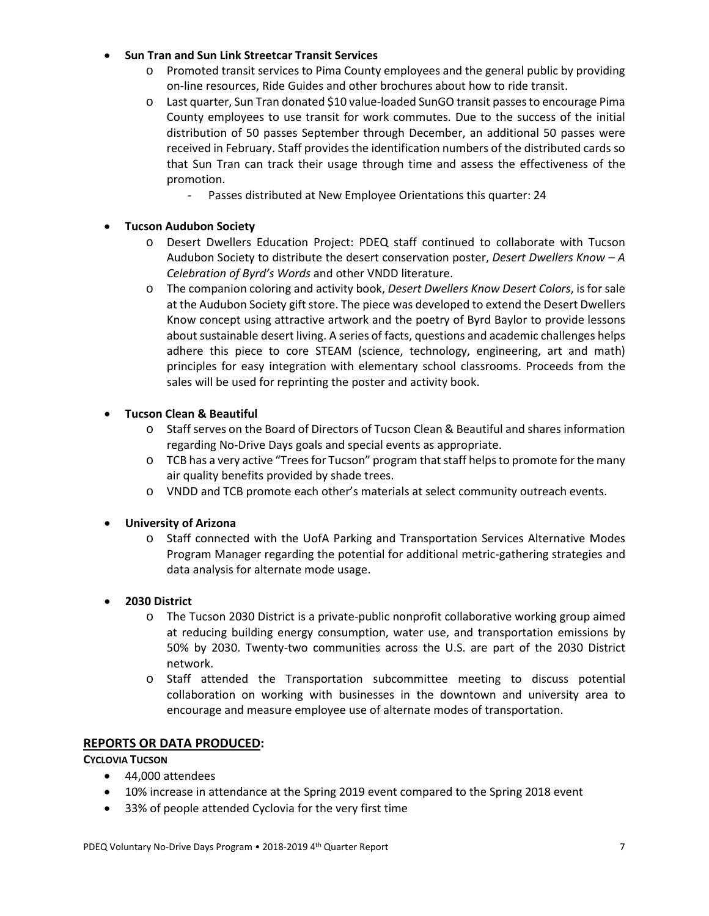# • **Sun Tran and Sun Link Streetcar Transit Services**

- o Promoted transit services to Pima County employees and the general public by providing on-line resources, Ride Guides and other brochures about how to ride transit.
- o Last quarter, Sun Tran donated \$10 value-loaded SunGO transit passes to encourage Pima County employees to use transit for work commutes. Due to the success of the initial distribution of 50 passes September through December, an additional 50 passes were received in February. Staff provides the identification numbers of the distributed cards so that Sun Tran can track their usage through time and assess the effectiveness of the promotion.
	- Passes distributed at New Employee Orientations this quarter: 24

# • **Tucson Audubon Society**

- o Desert Dwellers Education Project: PDEQ staff continued to collaborate with Tucson Audubon Society to distribute the desert conservation poster, *Desert Dwellers Know – A Celebration of Byrd's Words* and other VNDD literature.
- o The companion coloring and activity book, *Desert Dwellers Know Desert Colors*, is for sale at the Audubon Society gift store. The piece was developed to extend the Desert Dwellers Know concept using attractive artwork and the poetry of Byrd Baylor to provide lessons about sustainable desert living. A series of facts, questions and academic challenges helps adhere this piece to core STEAM (science, technology, engineering, art and math) principles for easy integration with elementary school classrooms. Proceeds from the sales will be used for reprinting the poster and activity book.

# • **Tucson Clean & Beautiful**

- o Staff serves on the Board of Directors of Tucson Clean & Beautiful and shares information regarding No-Drive Days goals and special events as appropriate.
- $\circ$  TCB has a very active "Trees for Tucson" program that staff helps to promote for the many air quality benefits provided by shade trees.
- o VNDD and TCB promote each other's materials at select community outreach events.

# • **University of Arizona**

o Staff connected with the UofA Parking and Transportation Services Alternative Modes Program Manager regarding the potential for additional metric-gathering strategies and data analysis for alternate mode usage.

# • **2030 District**

- o The Tucson 2030 District is a private-public nonprofit collaborative working group aimed at reducing building energy consumption, water use, and transportation emissions by 50% by 2030. Twenty-two communities across the U.S. are part of the 2030 District network.
- o Staff attended the Transportation subcommittee meeting to discuss potential collaboration on working with businesses in the downtown and university area to encourage and measure employee use of alternate modes of transportation.

# **REPORTS OR DATA PRODUCED:**

# **CYCLOVIA TUCSON**

- 44,000 attendees
- 10% increase in attendance at the Spring 2019 event compared to the Spring 2018 event
- 33% of people attended Cyclovia for the very first time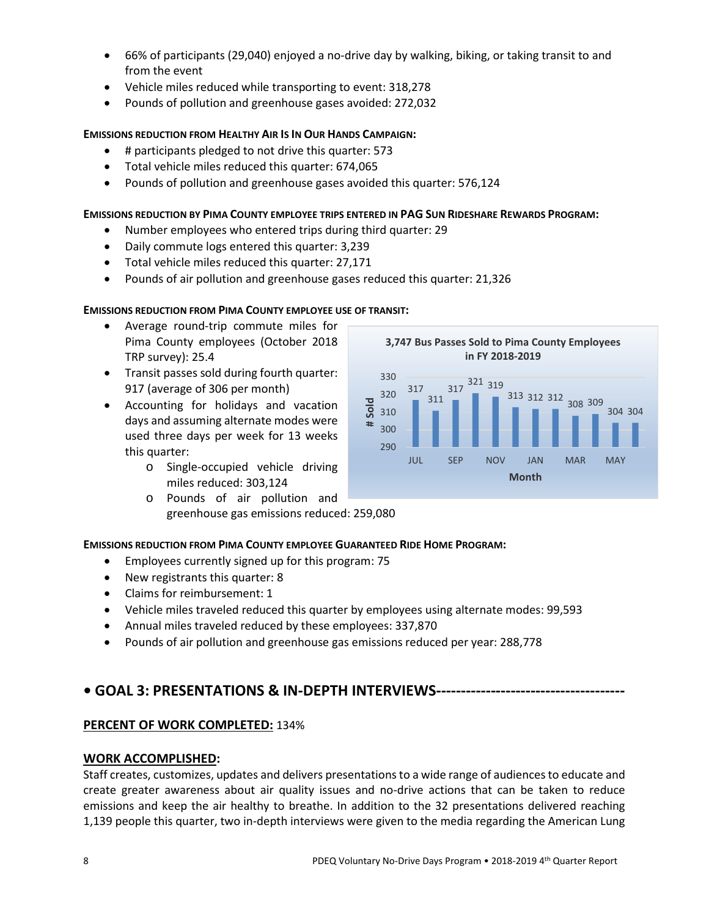- 66% of participants (29,040) enjoyed a no-drive day by walking, biking, or taking transit to and from the event
- Vehicle miles reduced while transporting to event: 318,278
- Pounds of pollution and greenhouse gases avoided: 272,032

# **EMISSIONS REDUCTION FROM HEALTHY AIR IS IN OUR HANDS CAMPAIGN:**

- # participants pledged to not drive this quarter: 573
- Total vehicle miles reduced this quarter: 674,065
- Pounds of pollution and greenhouse gases avoided this quarter: 576,124

# **EMISSIONS REDUCTION BY PIMA COUNTY EMPLOYEE TRIPS ENTERED IN PAG SUN RIDESHARE REWARDS PROGRAM:**

- Number employees who entered trips during third quarter: 29
- Daily commute logs entered this quarter: 3,239
- Total vehicle miles reduced this quarter: 27,171
- Pounds of air pollution and greenhouse gases reduced this quarter: 21,326

# **EMISSIONS REDUCTION FROM PIMA COUNTY EMPLOYEE USE OF TRANSIT:**

- Average round-trip commute miles for Pima County employees (October 2018 TRP survey): 25.4
- Transit passes sold during fourth quarter: 917 (average of 306 per month)
- Accounting for holidays and vacation days and assuming alternate modes were used three days per week for 13 weeks this quarter:
	- o Single-occupied vehicle driving miles reduced: 303,124
	- o Pounds of air pollution and greenhouse gas emissions reduced: 259,080

# **EMISSIONS REDUCTION FROM PIMA COUNTY EMPLOYEE GUARANTEED RIDE HOME PROGRAM:**

- Employees currently signed up for this program: 75
- New registrants this quarter: 8
- Claims for reimbursement: 1
- Vehicle miles traveled reduced this quarter by employees using alternate modes: 99,593
- Annual miles traveled reduced by these employees: 337,870
- Pounds of air pollution and greenhouse gas emissions reduced per year: 288,778

# **• GOAL 3: PRESENTATIONS & IN-DEPTH INTERVIEWS--------------------------------------**

# **PERCENT OF WORK COMPLETED:** 134%

# **WORK ACCOMPLISHED:**

Staff creates, customizes, updates and delivers presentations to a wide range of audiences to educate and create greater awareness about air quality issues and no-drive actions that can be taken to reduce emissions and keep the air healthy to breathe. In addition to the 32 presentations delivered reaching 1,139 people this quarter, two in-depth interviews were given to the media regarding the American Lung

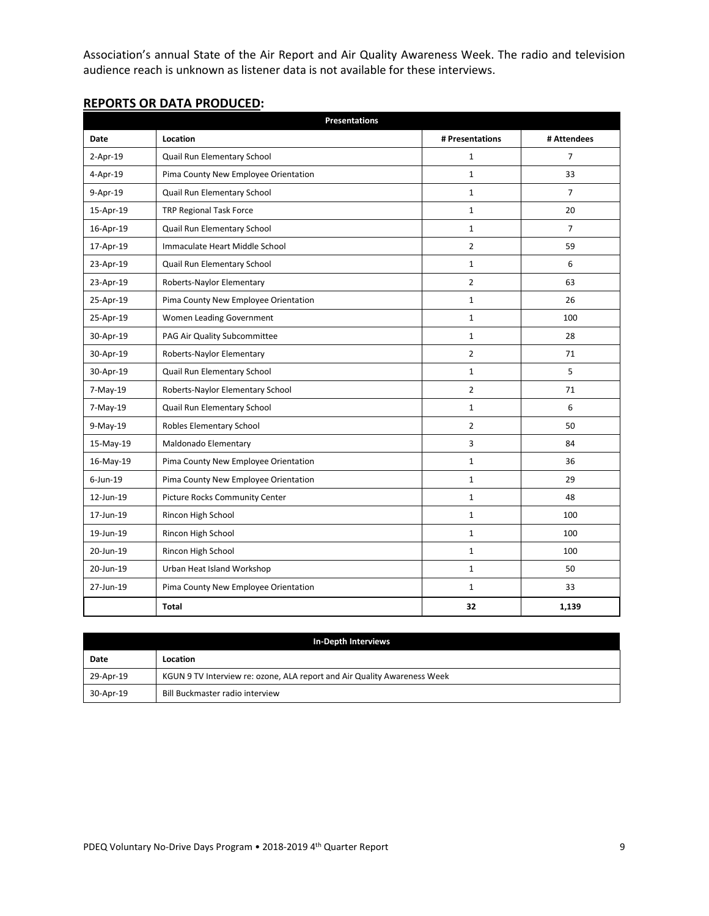Association's annual State of the Air Report and Air Quality Awareness Week. The radio and television audience reach is unknown as listener data is not available for these interviews.

|                | <b>Presentations</b>                 |                 |                |  |
|----------------|--------------------------------------|-----------------|----------------|--|
| Date           | Location                             | # Presentations | # Attendees    |  |
| $2-Apr-19$     | Quail Run Elementary School          | $\mathbf{1}$    | $\overline{7}$ |  |
| $4 - Apr - 19$ | Pima County New Employee Orientation | $\mathbf{1}$    | 33             |  |
| 9-Apr-19       | Quail Run Elementary School          | $\mathbf{1}$    | $\overline{7}$ |  |
| 15-Apr-19      | TRP Regional Task Force              | $\mathbf{1}$    | 20             |  |
| 16-Apr-19      | Quail Run Elementary School          | 1               | $\overline{7}$ |  |
| 17-Apr-19      | Immaculate Heart Middle School       | $\overline{2}$  | 59             |  |
| 23-Apr-19      | Quail Run Elementary School          | $\mathbf{1}$    | 6              |  |
| 23-Apr-19      | Roberts-Naylor Elementary            | $\overline{2}$  | 63             |  |
| 25-Apr-19      | Pima County New Employee Orientation | $\mathbf{1}$    | 26             |  |
| 25-Apr-19      | Women Leading Government             | $\mathbf{1}$    | 100            |  |
| 30-Apr-19      | PAG Air Quality Subcommittee         | $\mathbf{1}$    | 28             |  |
| 30-Apr-19      | Roberts-Naylor Elementary            | $\overline{2}$  | 71             |  |
| 30-Apr-19      | Quail Run Elementary School          | $\mathbf{1}$    | 5              |  |
| 7-May-19       | Roberts-Naylor Elementary School     | $\overline{2}$  | 71             |  |
| 7-May-19       | Quail Run Elementary School          | $\mathbf{1}$    | 6              |  |
| 9-May-19       | Robles Elementary School             | $\overline{2}$  | 50             |  |
| 15-May-19      | Maldonado Elementary                 | 3               | 84             |  |
| 16-May-19      | Pima County New Employee Orientation | 1               | 36             |  |
| $6$ -Jun-19    | Pima County New Employee Orientation | $\mathbf{1}$    | 29             |  |
| 12-Jun-19      | Picture Rocks Community Center       | $\mathbf{1}$    | 48             |  |
| 17-Jun-19      | Rincon High School                   | 1               | 100            |  |
| 19-Jun-19      | Rincon High School                   | $\mathbf{1}$    | 100            |  |
| 20-Jun-19      | Rincon High School                   | $\mathbf{1}$    | 100            |  |
| 20-Jun-19      | Urban Heat Island Workshop           | 1               | 50             |  |
| 27-Jun-19      | Pima County New Employee Orientation | $\mathbf{1}$    | 33             |  |
|                | Total                                | 32              | 1,139          |  |

# **REPORTS OR DATA PRODUCED:**

| In-Depth Interviews |                                                                          |  |  |
|---------------------|--------------------------------------------------------------------------|--|--|
| Date                | Location                                                                 |  |  |
| 29-Apr-19           | KGUN 9 TV Interview re: ozone, ALA report and Air Quality Awareness Week |  |  |
| 30-Apr-19           | Bill Buckmaster radio interview                                          |  |  |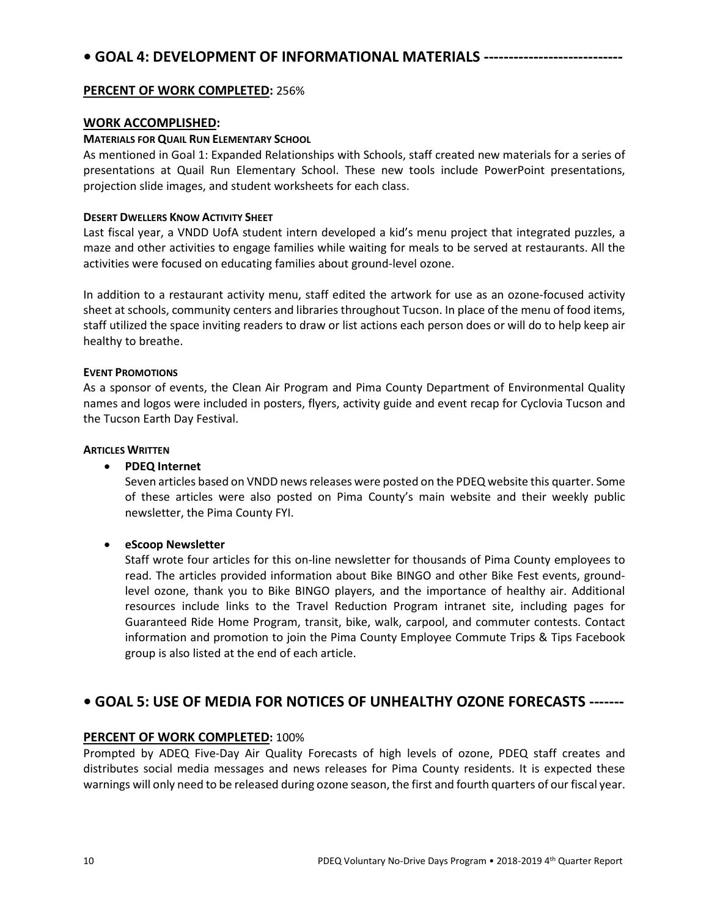# **• GOAL 4: DEVELOPMENT OF INFORMATIONAL MATERIALS ----------------------------**

# **PERCENT OF WORK COMPLETED:** 256%

#### **WORK ACCOMPLISHED:**

#### **MATERIALS FOR QUAIL RUN ELEMENTARY SCHOOL**

As mentioned in Goal 1: Expanded Relationships with Schools, staff created new materials for a series of presentations at Quail Run Elementary School. These new tools include PowerPoint presentations, projection slide images, and student worksheets for each class.

#### **DESERT DWELLERS KNOW ACTIVITY SHEET**

Last fiscal year, a VNDD UofA student intern developed a kid's menu project that integrated puzzles, a maze and other activities to engage families while waiting for meals to be served at restaurants. All the activities were focused on educating families about ground-level ozone.

In addition to a restaurant activity menu, staff edited the artwork for use as an ozone-focused activity sheet at schools, community centers and libraries throughout Tucson. In place of the menu of food items, staff utilized the space inviting readers to draw or list actions each person does or will do to help keep air healthy to breathe.

#### **EVENT PROMOTIONS**

As a sponsor of events, the Clean Air Program and Pima County Department of Environmental Quality names and logos were included in posters, flyers, activity guide and event recap for Cyclovia Tucson and the Tucson Earth Day Festival.

#### **ARTICLES WRITTEN**

# • **PDEQ Internet**

Seven articles based on VNDD news releases were posted on the PDEQ website this quarter. Some of these articles were also posted on Pima County's main website and their weekly public newsletter, the Pima County FYI.

# • **eScoop Newsletter**

Staff wrote four articles for this on-line newsletter for thousands of Pima County employees to read. The articles provided information about Bike BINGO and other Bike Fest events, groundlevel ozone, thank you to Bike BINGO players, and the importance of healthy air. Additional resources include links to the Travel Reduction Program intranet site, including pages for Guaranteed Ride Home Program, transit, bike, walk, carpool, and commuter contests. Contact information and promotion to join the Pima County Employee Commute Trips & Tips Facebook group is also listed at the end of each article.

# **• GOAL 5: USE OF MEDIA FOR NOTICES OF UNHEALTHY OZONE FORECASTS -------**

# **PERCENT OF WORK COMPLETED:** 100%

Prompted by ADEQ Five-Day Air Quality Forecasts of high levels of ozone, PDEQ staff creates and distributes social media messages and news releases for Pima County residents. It is expected these warnings will only need to be released during ozone season, the first and fourth quarters of our fiscal year.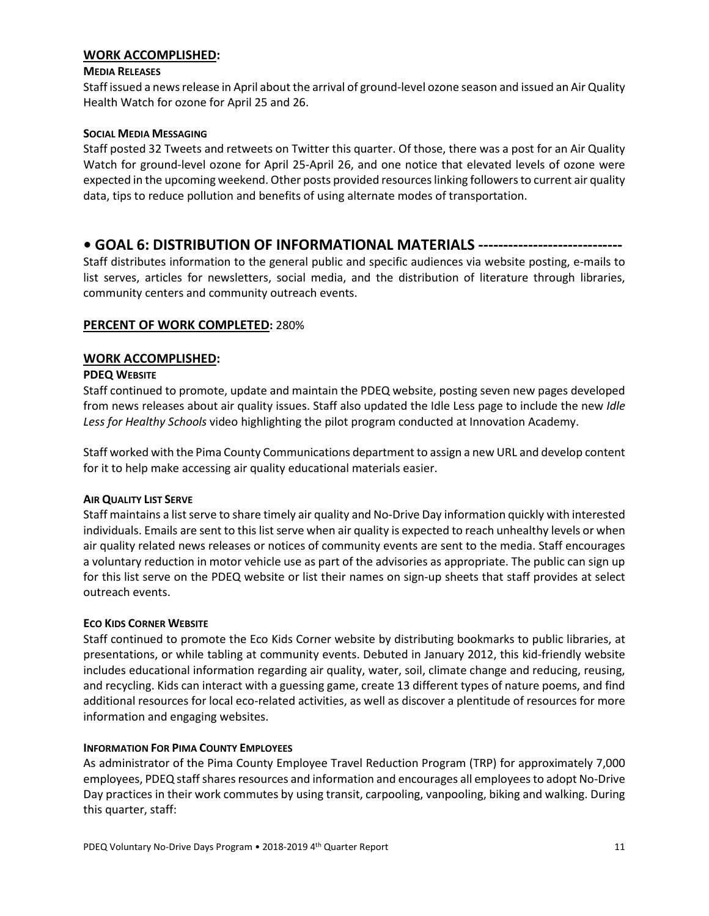#### **WORK ACCOMPLISHED:**

#### **MEDIA RELEASES**

Staff issued a news release in April about the arrival of ground-level ozone season and issued an Air Quality Health Watch for ozone for April 25 and 26.

#### **SOCIAL MEDIA MESSAGING**

Staff posted 32 Tweets and retweets on Twitter this quarter. Of those, there was a post for an Air Quality Watch for ground-level ozone for April 25-April 26, and one notice that elevated levels of ozone were expected in the upcoming weekend. Other posts provided resources linking followers to current air quality data, tips to reduce pollution and benefits of using alternate modes of transportation.

# **• GOAL 6: DISTRIBUTION OF INFORMATIONAL MATERIALS -----------------------------**

Staff distributes information to the general public and specific audiences via website posting, e-mails to list serves, articles for newsletters, social media, and the distribution of literature through libraries, community centers and community outreach events.

# **PERCENT OF WORK COMPLETED:** 280%

# **WORK ACCOMPLISHED:**

#### **PDEQ WEBSITE**

Staff continued to promote, update and maintain the PDEQ website, posting seven new pages developed from news releases about air quality issues. Staff also updated the Idle Less page to include the new *Idle Less for Healthy Schools* video highlighting the pilot program conducted at Innovation Academy.

Staff worked with the Pima County Communications department to assign a new URL and develop content for it to help make accessing air quality educational materials easier.

# **AIR QUALITY LIST SERVE**

Staff maintains a list serve to share timely air quality and No-Drive Day information quickly with interested individuals. Emails are sent to this list serve when air quality is expected to reach unhealthy levels or when air quality related news releases or notices of community events are sent to the media. Staff encourages a voluntary reduction in motor vehicle use as part of the advisories as appropriate. The public can sign up for this list serve on the PDEQ website or list their names on sign-up sheets that staff provides at select outreach events.

# **ECO KIDS CORNER WEBSITE**

Staff continued to promote the Eco Kids Corner website by distributing bookmarks to public libraries, at presentations, or while tabling at community events. Debuted in January 2012, this kid-friendly website includes educational information regarding air quality, water, soil, climate change and reducing, reusing, and recycling. Kids can interact with a guessing game, create 13 different types of nature poems, and find additional resources for local eco-related activities, as well as discover a plentitude of resources for more information and engaging websites.

#### **INFORMATION FOR PIMA COUNTY EMPLOYEES**

As administrator of the Pima County Employee Travel Reduction Program (TRP) for approximately 7,000 employees, PDEQ staffshares resources and information and encourages all employees to adopt No-Drive Day practices in their work commutes by using transit, carpooling, vanpooling, biking and walking. During this quarter, staff: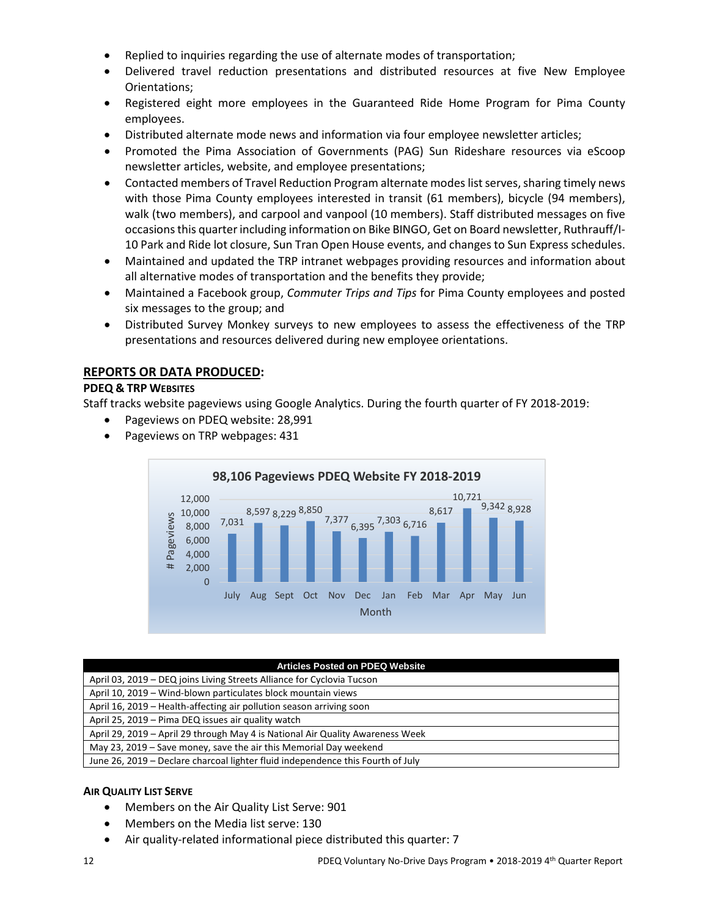- Replied to inquiries regarding the use of alternate modes of transportation;
- Delivered travel reduction presentations and distributed resources at five New Employee Orientations;
- Registered eight more employees in the Guaranteed Ride Home Program for Pima County employees.
- Distributed alternate mode news and information via four employee newsletter articles;
- Promoted the Pima Association of Governments (PAG) Sun Rideshare resources via eScoop newsletter articles, website, and employee presentations;
- Contacted members of Travel Reduction Program alternate modes list serves, sharing timely news with those Pima County employees interested in transit (61 members), bicycle (94 members), walk (two members), and carpool and vanpool (10 members). Staff distributed messages on five occasions this quarterincluding information on Bike BINGO, Get on Board newsletter, Ruthrauff/I-10 Park and Ride lot closure, Sun Tran Open House events, and changes to Sun Express schedules.
- Maintained and updated the TRP intranet webpages providing resources and information about all alternative modes of transportation and the benefits they provide;
- Maintained a Facebook group, *Commuter Trips and Tips* for Pima County employees and posted six messages to the group; and
- Distributed Survey Monkey surveys to new employees to assess the effectiveness of the TRP presentations and resources delivered during new employee orientations.

# **REPORTS OR DATA PRODUCED:**

# **PDEQ & TRP WEBSITES**

Staff tracks website pageviews using Google Analytics. During the fourth quarter of FY 2018-2019:

- Pageviews on PDEQ website: 28,991
- Pageviews on TRP webpages: 431



#### **Articles Posted on PDEQ Website**

| April 03, 2019 – DEQ joins Living Streets Alliance for Cyclovia Tucson          |
|---------------------------------------------------------------------------------|
| April 10, 2019 - Wind-blown particulates block mountain views                   |
| April 16, 2019 – Health-affecting air pollution season arriving soon            |
| April 25, 2019 – Pima DEQ issues air quality watch                              |
| April 29, 2019 – April 29 through May 4 is National Air Quality Awareness Week  |
| May 23, 2019 – Save money, save the air this Memorial Day weekend               |
| June 26, 2019 – Declare charcoal lighter fluid independence this Fourth of July |

# **AIR QUALITY LIST SERVE**

- Members on the Air Quality List Serve: 901
- Members on the Media list serve: 130
- Air quality-related informational piece distributed this quarter: 7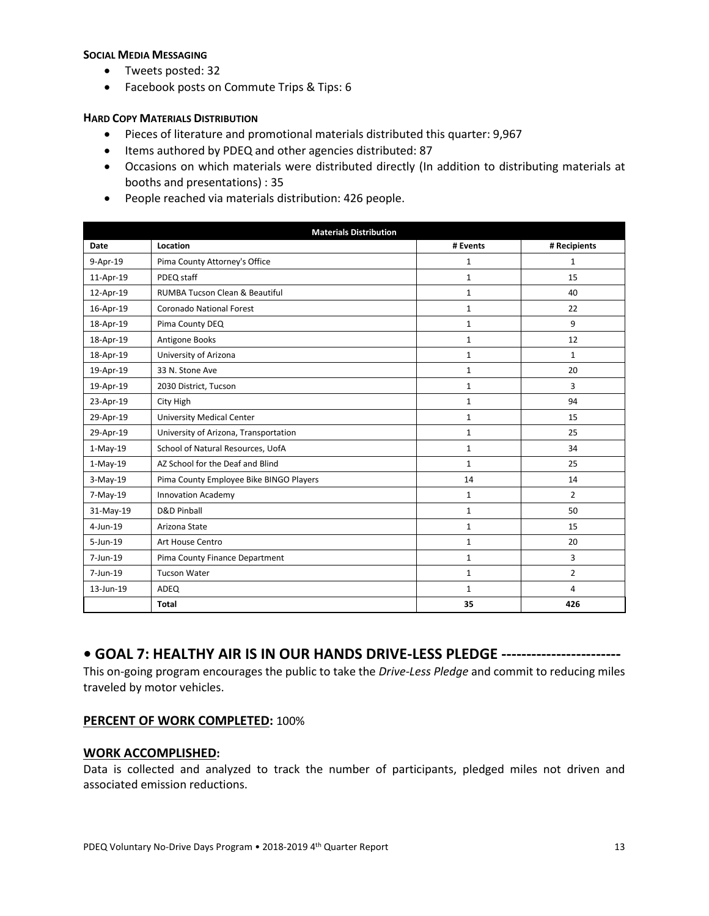#### **SOCIAL MEDIA MESSAGING**

- Tweets posted: 32
- Facebook posts on Commute Trips & Tips: 6

#### **HARD COPY MATERIALS DISTRIBUTION**

- Pieces of literature and promotional materials distributed this quarter: 9,967
- Items authored by PDEQ and other agencies distributed: 87
- Occasions on which materials were distributed directly (In addition to distributing materials at booths and presentations) : 35
- People reached via materials distribution: 426 people.

| <b>Materials Distribution</b> |                                           |              |                |  |
|-------------------------------|-------------------------------------------|--------------|----------------|--|
| Date                          | Location                                  | # Events     | # Recipients   |  |
| 9-Apr-19                      | Pima County Attorney's Office             | $\mathbf{1}$ | $\mathbf{1}$   |  |
| 11-Apr-19                     | PDEQ staff                                | $\mathbf{1}$ | 15             |  |
| 12-Apr-19                     | <b>RUMBA Tucson Clean &amp; Beautiful</b> | $\mathbf{1}$ | 40             |  |
| 16-Apr-19                     | <b>Coronado National Forest</b>           | $\mathbf{1}$ | 22             |  |
| 18-Apr-19                     | Pima County DEQ                           | $\mathbf{1}$ | 9              |  |
| 18-Apr-19                     | Antigone Books                            | $\mathbf{1}$ | 12             |  |
| 18-Apr-19                     | University of Arizona                     | $\mathbf{1}$ | $\mathbf{1}$   |  |
| 19-Apr-19                     | 33 N. Stone Ave                           | $\mathbf{1}$ | 20             |  |
| 19-Apr-19                     | 2030 District, Tucson                     | $\mathbf{1}$ | 3              |  |
| 23-Apr-19                     | City High                                 | $\mathbf{1}$ | 94             |  |
| 29-Apr-19                     | <b>University Medical Center</b>          | $\mathbf{1}$ | 15             |  |
| 29-Apr-19                     | University of Arizona, Transportation     | $\mathbf{1}$ | 25             |  |
| 1-May-19                      | School of Natural Resources, UofA         | $\mathbf{1}$ | 34             |  |
| $1-May-19$                    | AZ School for the Deaf and Blind          | $\mathbf{1}$ | 25             |  |
| $3-May-19$                    | Pima County Employee Bike BINGO Players   | 14           | 14             |  |
| 7-May-19                      | <b>Innovation Academy</b>                 | $\mathbf{1}$ | $\overline{2}$ |  |
| 31-May-19                     | D&D Pinball                               | $\mathbf{1}$ | 50             |  |
| $4$ -Jun-19                   | Arizona State                             | $\mathbf{1}$ | 15             |  |
| 5-Jun-19                      | Art House Centro                          | $\mathbf{1}$ | 20             |  |
| $7$ -Jun-19                   | Pima County Finance Department            | $\mathbf{1}$ | 3              |  |
| 7-Jun-19                      | <b>Tucson Water</b>                       | $\mathbf{1}$ | $\overline{2}$ |  |
| 13-Jun-19                     | ADEQ                                      | $\mathbf{1}$ | 4              |  |
|                               | <b>Total</b>                              | 35           | 426            |  |

# **• GOAL 7: HEALTHY AIR IS IN OUR HANDS DRIVE-LESS PLEDGE ------------------------**

This on-going program encourages the public to take the *Drive-Less Pledge* and commit to reducing miles traveled by motor vehicles.

#### **PERCENT OF WORK COMPLETED:** 100%

#### **WORK ACCOMPLISHED:**

Data is collected and analyzed to track the number of participants, pledged miles not driven and associated emission reductions.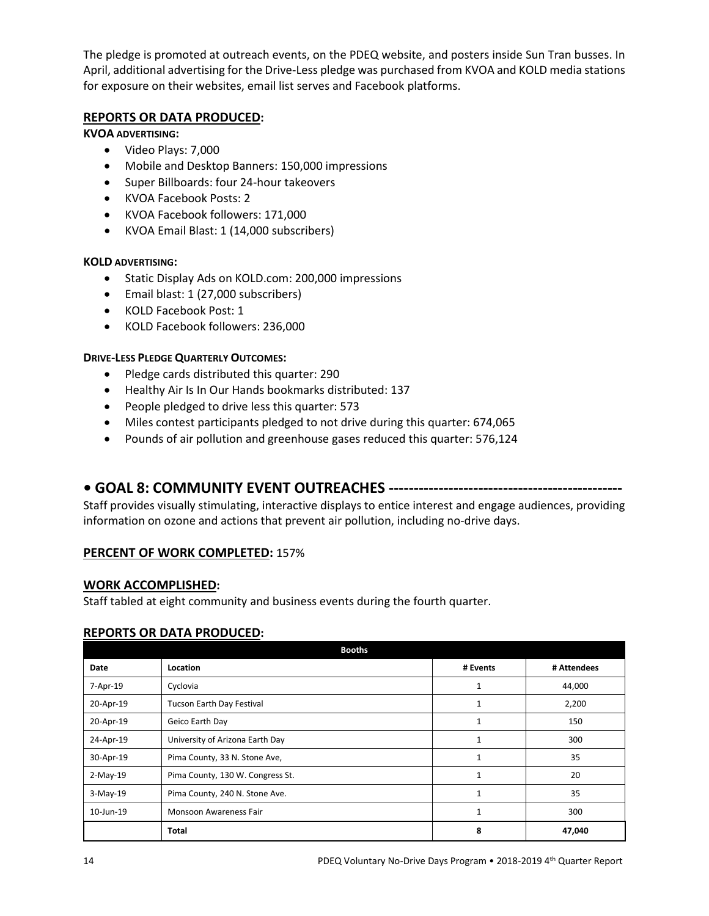The pledge is promoted at outreach events, on the PDEQ website, and posters inside Sun Tran busses. In April, additional advertising for the Drive-Less pledge was purchased from KVOA and KOLD media stations for exposure on their websites, email list serves and Facebook platforms.

# **REPORTS OR DATA PRODUCED:**

# **KVOA ADVERTISING:**

- Video Plays: 7,000
- Mobile and Desktop Banners: 150,000 impressions
- Super Billboards: four 24-hour takeovers
- KVOA Facebook Posts: 2
- KVOA Facebook followers: 171,000
- KVOA Email Blast: 1 (14,000 subscribers)

# **KOLD ADVERTISING:**

- Static Display Ads on KOLD.com: 200,000 impressions
- Email blast: 1 (27,000 subscribers)
- KOLD Facebook Post: 1
- KOLD Facebook followers: 236,000

# **DRIVE-LESS PLEDGE QUARTERLY OUTCOMES:**

- Pledge cards distributed this quarter: 290
- Healthy Air Is In Our Hands bookmarks distributed: 137
- People pledged to drive less this quarter: 573
- Miles contest participants pledged to not drive during this quarter: 674,065
- Pounds of air pollution and greenhouse gases reduced this quarter: 576,124

# **• GOAL 8: COMMUNITY EVENT OUTREACHES -----------------------------------------------**

Staff provides visually stimulating, interactive displays to entice interest and engage audiences, providing information on ozone and actions that prevent air pollution, including no-drive days.

# **PERCENT OF WORK COMPLETED:** 157%

# **WORK ACCOMPLISHED:**

Staff tabled at eight community and business events during the fourth quarter.

# **REPORTS OR DATA PRODUCED:**

|           | <b>Booths</b>                    |              |             |
|-----------|----------------------------------|--------------|-------------|
| Date      | Location                         | # Events     | # Attendees |
| 7-Apr-19  | Cyclovia                         | 1            | 44,000      |
| 20-Apr-19 | Tucson Earth Day Festival        | 1            | 2,200       |
| 20-Apr-19 | Geico Earth Day                  | 1            | 150         |
| 24-Apr-19 | University of Arizona Earth Day  | $\mathbf{1}$ | 300         |
| 30-Apr-19 | Pima County, 33 N. Stone Ave,    | 1            | 35          |
| 2-May-19  | Pima County, 130 W. Congress St. | $\mathbf{1}$ | 20          |
| 3-May-19  | Pima County, 240 N. Stone Ave.   | $\mathbf{1}$ | 35          |
| 10-Jun-19 | Monsoon Awareness Fair           | $\mathbf{1}$ | 300         |
|           | Total                            | 8            | 47,040      |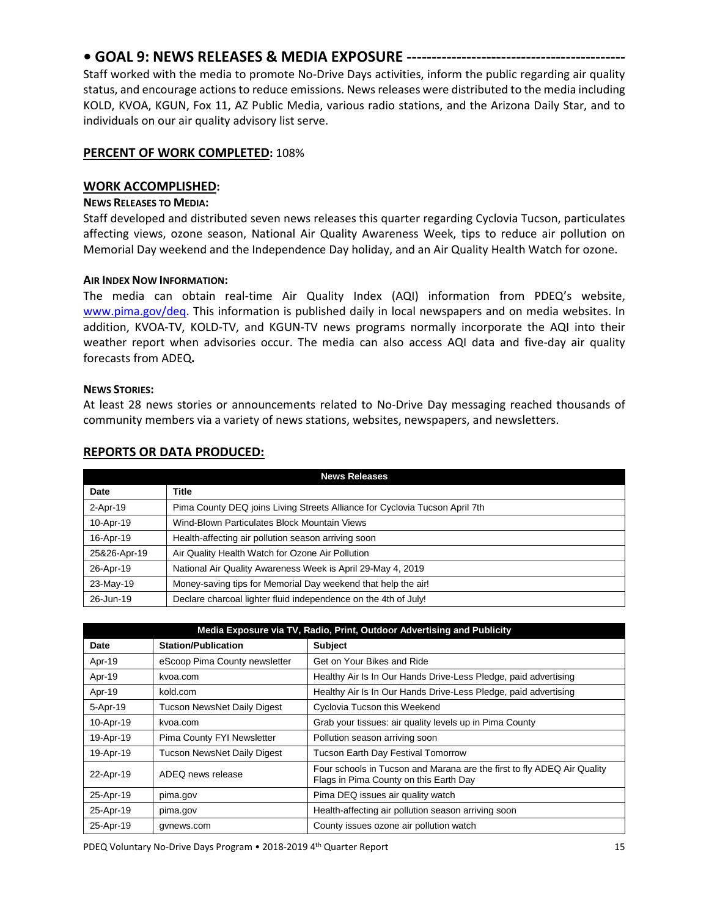# **• GOAL 9: NEWS RELEASES & MEDIA EXPOSURE --------------------------------------------**

Staff worked with the media to promote No-Drive Days activities, inform the public regarding air quality status, and encourage actions to reduce emissions. News releases were distributed to the media including KOLD, KVOA, KGUN, Fox 11, AZ Public Media, various radio stations, and the Arizona Daily Star, and to individuals on our air quality advisory list serve.

# **PERCENT OF WORK COMPLETED:** 108%

#### **WORK ACCOMPLISHED:**

#### **NEWS RELEASES TO MEDIA:**

Staff developed and distributed seven news releases this quarter regarding Cyclovia Tucson, particulates affecting views, ozone season, National Air Quality Awareness Week, tips to reduce air pollution on Memorial Day weekend and the Independence Day holiday, and an Air Quality Health Watch for ozone.

#### **AIR INDEX NOW INFORMATION:**

The media can obtain real-time Air Quality Index (AQI) information from PDEQ's website, [www.pima.gov/deq.](http://www.pima.gov/deq) This information is published daily in local newspapers and on media websites. In addition, KVOA-TV, KOLD-TV, and KGUN-TV news programs normally incorporate the AQI into their weather report when advisories occur. The media can also access AQI data and five-day air quality forecasts from ADEQ**.**

#### **NEWS STORIES:**

At least 28 news stories or announcements related to No-Drive Day messaging reached thousands of community members via a variety of news stations, websites, newspapers, and newsletters.

| <b>News Releases</b> |                                                                             |  |  |
|----------------------|-----------------------------------------------------------------------------|--|--|
| Date                 | Title                                                                       |  |  |
| 2-Apr-19             | Pima County DEQ joins Living Streets Alliance for Cyclovia Tucson April 7th |  |  |
| 10-Apr-19            | Wind-Blown Particulates Block Mountain Views                                |  |  |
| 16-Apr-19            | Health-affecting air pollution season arriving soon                         |  |  |
| 25&26-Apr-19         | Air Quality Health Watch for Ozone Air Pollution                            |  |  |
| 26-Apr-19            | National Air Quality Awareness Week is April 29-May 4, 2019                 |  |  |
| 23-May-19            | Money-saving tips for Memorial Day weekend that help the air!               |  |  |
| 26-Jun-19            | Declare charcoal lighter fluid independence on the 4th of July!             |  |  |

# **REPORTS OR DATA PRODUCED:**

| Media Exposure via TV, Radio, Print, Outdoor Advertising and Publicity |                                    |                                                                                                                   |  |  |
|------------------------------------------------------------------------|------------------------------------|-------------------------------------------------------------------------------------------------------------------|--|--|
| Date                                                                   | <b>Station/Publication</b>         | <b>Subject</b>                                                                                                    |  |  |
| Apr-19                                                                 | eScoop Pima County newsletter      | Get on Your Bikes and Ride                                                                                        |  |  |
| Apr-19                                                                 | kvoa.com                           | Healthy Air Is In Our Hands Drive-Less Pledge, paid advertising                                                   |  |  |
| Apr-19                                                                 | kold.com                           | Healthy Air Is In Our Hands Drive-Less Pledge, paid advertising                                                   |  |  |
| 5-Apr-19                                                               | <b>Tucson NewsNet Daily Digest</b> | Cyclovia Tucson this Weekend                                                                                      |  |  |
| 10-Apr-19                                                              | kvoa.com                           | Grab your tissues: air quality levels up in Pima County                                                           |  |  |
| 19-Apr-19                                                              | Pima County FYI Newsletter         | Pollution season arriving soon                                                                                    |  |  |
| 19-Apr-19                                                              | Tucson NewsNet Daily Digest        | <b>Tucson Earth Day Festival Tomorrow</b>                                                                         |  |  |
| 22-Apr-19                                                              | ADEQ news release                  | Four schools in Tucson and Marana are the first to fly ADEQ Air Quality<br>Flags in Pima County on this Earth Day |  |  |
| 25-Apr-19                                                              | pima.gov                           | Pima DEQ issues air quality watch                                                                                 |  |  |
| 25-Apr-19                                                              | pima.gov                           | Health-affecting air pollution season arriving soon                                                               |  |  |
| 25-Apr-19                                                              | qvnews.com                         | County issues ozone air pollution watch                                                                           |  |  |

PDEQ Voluntary No-Drive Days Program • 2018-2019 4<sup>th</sup> Quarter Report 15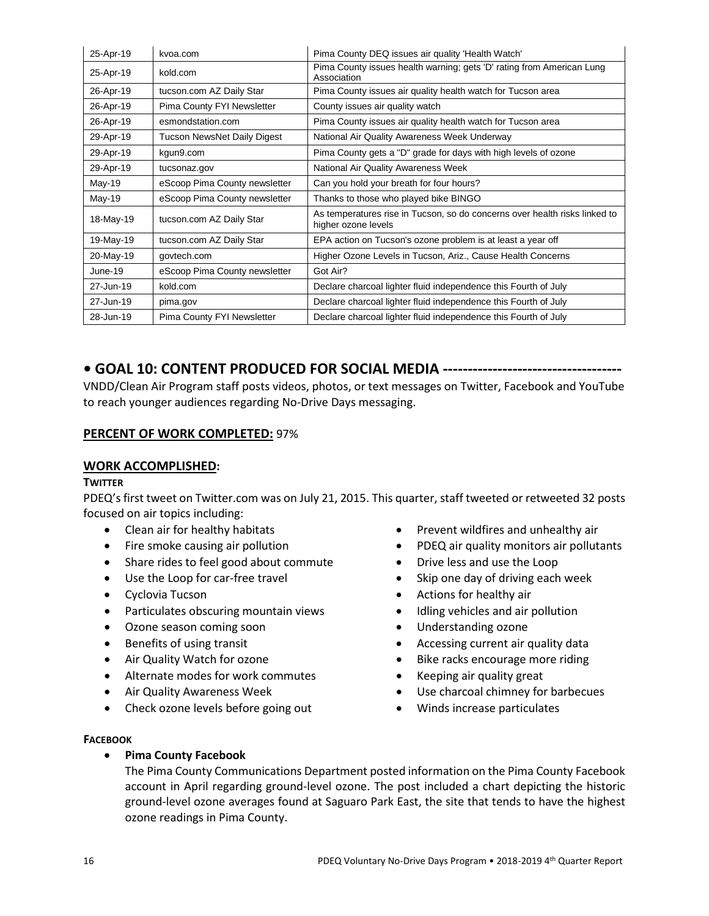| 25-Apr-19 | kvoa.com                      | Pima County DEQ issues air quality 'Health Watch'                                                 |
|-----------|-------------------------------|---------------------------------------------------------------------------------------------------|
| 25-Apr-19 | kold.com                      | Pima County issues health warning; gets 'D' rating from American Lung<br>Association              |
| 26-Apr-19 | tucson.com AZ Daily Star      | Pima County issues air quality health watch for Tucson area                                       |
| 26-Apr-19 | Pima County FYI Newsletter    | County issues air quality watch                                                                   |
| 26-Apr-19 | esmondstation.com             | Pima County issues air quality health watch for Tucson area                                       |
| 29-Apr-19 | Tucson NewsNet Daily Digest   | National Air Quality Awareness Week Underway                                                      |
| 29-Apr-19 | kgun9.com                     | Pima County gets a "D" grade for days with high levels of ozone                                   |
| 29-Apr-19 | tucsonaz.gov                  | National Air Quality Awareness Week                                                               |
| $May-19$  | eScoop Pima County newsletter | Can you hold your breath for four hours?                                                          |
| May-19    | eScoop Pima County newsletter | Thanks to those who played bike BINGO                                                             |
| 18-May-19 | tucson.com AZ Daily Star      | As temperatures rise in Tucson, so do concerns over health risks linked to<br>higher ozone levels |
| 19-May-19 | tucson.com AZ Daily Star      | EPA action on Tucson's ozone problem is at least a year off                                       |
| 20-May-19 | govtech.com                   | Higher Ozone Levels in Tucson, Ariz., Cause Health Concerns                                       |
| June-19   | eScoop Pima County newsletter | Got Air?                                                                                          |
| 27-Jun-19 | kold.com                      | Declare charcoal lighter fluid independence this Fourth of July                                   |
| 27-Jun-19 | pima.gov                      | Declare charcoal lighter fluid independence this Fourth of July                                   |
| 28-Jun-19 | Pima County FYI Newsletter    | Declare charcoal lighter fluid independence this Fourth of July                                   |

# **• GOAL 10: CONTENT PRODUCED FOR SOCIAL MEDIA ------------------------------------**

VNDD/Clean Air Program staff posts videos, photos, or text messages on Twitter, Facebook and YouTube to reach younger audiences regarding No-Drive Days messaging.

# **PERCENT OF WORK COMPLETED:** 97%

# **WORK ACCOMPLISHED:**

#### **TWITTER**

PDEQ's first tweet on Twitter.com was on July 21, 2015. This quarter, staff tweeted or retweeted 32 posts focused on air topics including:

- Clean air for healthy habitats
- Fire smoke causing air pollution
- Share rides to feel good about commute
- Use the Loop for car-free travel
- Cyclovia Tucson
- Particulates obscuring mountain views
- Ozone season coming soon
- Benefits of using transit
- Air Quality Watch for ozone
- Alternate modes for work commutes
- Air Quality Awareness Week
- Check ozone levels before going out
- Prevent wildfires and unhealthy air
- PDEQ air quality monitors air pollutants
- Drive less and use the Loop
- Skip one day of driving each week
- Actions for healthy air
- Idling vehicles and air pollution
- Understanding ozone
- Accessing current air quality data
- Bike racks encourage more riding
- Keeping air quality great
- Use charcoal chimney for barbecues
- Winds increase particulates

#### **FACEBOOK**

#### • **Pima County Facebook**

The Pima County Communications Department posted information on the Pima County Facebook account in April regarding ground-level ozone. The post included a chart depicting the historic ground-level ozone averages found at Saguaro Park East, the site that tends to have the highest ozone readings in Pima County.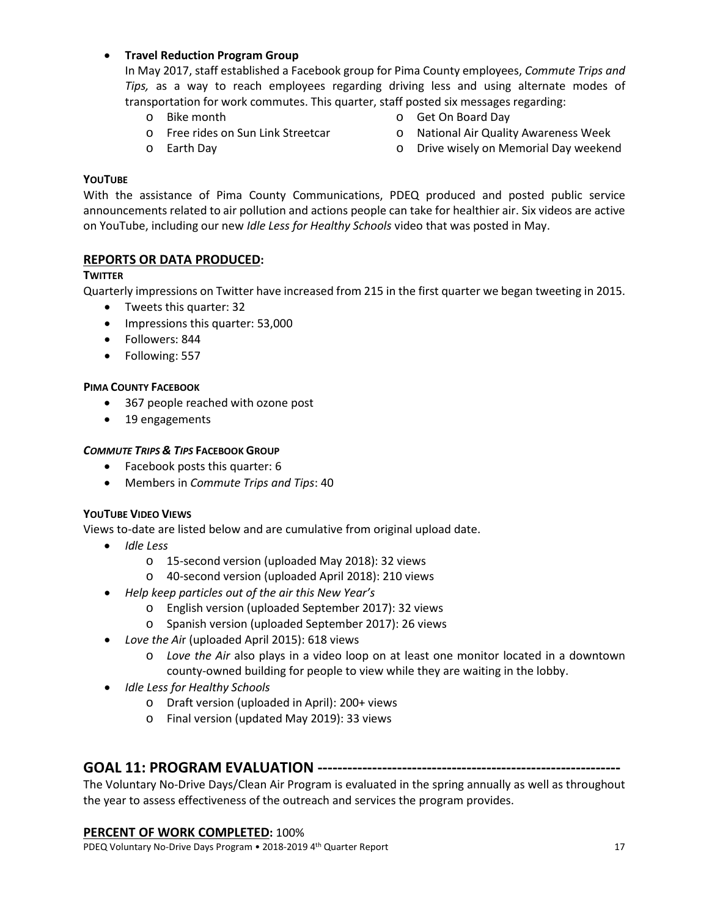# • **Travel Reduction Program Group**

In May 2017, staff established a Facebook group for Pima County employees, *Commute Trips and Tips,* as a way to reach employees regarding driving less and using alternate modes of transportation for work commutes. This quarter, staff posted six messages regarding:

- o Bike month
- o Free rides on Sun Link Streetcar
- o Get On Board Day
- o National Air Quality Awareness Week

o Earth Day

o Drive wisely on Memorial Day weekend

# **YOUTUBE**

With the assistance of Pima County Communications, PDEQ produced and posted public service announcements related to air pollution and actions people can take for healthier air. Six videos are active on YouTube, including our new *Idle Less for Healthy Schools* video that was posted in May.

# **REPORTS OR DATA PRODUCED:**

# **TWITTER**

Quarterly impressions on Twitter have increased from 215 in the first quarter we began tweeting in 2015.

- Tweets this quarter: 32
- Impressions this quarter: 53,000
- Followers: 844
- Following: 557

# **PIMA COUNTY FACEBOOK**

- 367 people reached with ozone post
- 19 engagements

# *COMMUTE TRIPS & TIPS* **FACEBOOK GROUP**

- Facebook posts this quarter: 6
- Members in *Commute Trips and Tips*: 40

# **YOUTUBE VIDEO VIEWS**

Views to-date are listed below and are cumulative from original upload date.

- *Idle Less*
	- o 15-second version (uploaded May 2018): 32 views
	- o 40-second version (uploaded April 2018): 210 views
- *Help keep particles out of the air this New Year's* 
	- o English version (uploaded September 2017): 32 views
	- o Spanish version (uploaded September 2017): 26 views
- *Love the Ai*r (uploaded April 2015): 618 views
	- o *Love the Air* also plays in a video loop on at least one monitor located in a downtown county-owned building for people to view while they are waiting in the lobby.
- *Idle Less for Healthy Schools*
	- o Draft version (uploaded in April): 200+ views
	- o Final version (updated May 2019): 33 views

# **GOAL 11: PROGRAM EVALUATION -------------------------------------------------------------**

The Voluntary No-Drive Days/Clean Air Program is evaluated in the spring annually as well as throughout the year to assess effectiveness of the outreach and services the program provides.

# **PERCENT OF WORK COMPLETED:** 100%

PDEQ Voluntary No-Drive Days Program • 2018-2019 4<sup>th</sup> Quarter Report 17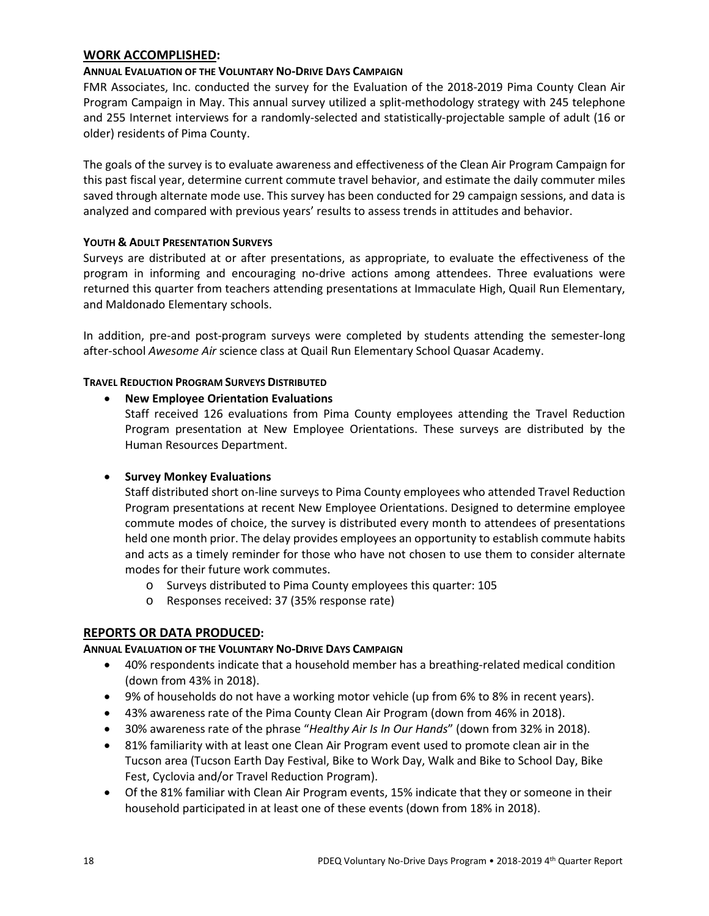# **WORK ACCOMPLISHED:**

# **ANNUAL EVALUATION OF THE VOLUNTARY NO-DRIVE DAYS CAMPAIGN**

FMR Associates, Inc. conducted the survey for the Evaluation of the 2018-2019 Pima County Clean Air Program Campaign in May. This annual survey utilized a split-methodology strategy with 245 telephone and 255 Internet interviews for a randomly-selected and statistically-projectable sample of adult (16 or older) residents of Pima County.

The goals of the survey is to evaluate awareness and effectiveness of the Clean Air Program Campaign for this past fiscal year, determine current commute travel behavior, and estimate the daily commuter miles saved through alternate mode use. This survey has been conducted for 29 campaign sessions, and data is analyzed and compared with previous years' results to assess trends in attitudes and behavior.

# **YOUTH & ADULT PRESENTATION SURVEYS**

Surveys are distributed at or after presentations, as appropriate, to evaluate the effectiveness of the program in informing and encouraging no-drive actions among attendees. Three evaluations were returned this quarter from teachers attending presentations at Immaculate High, Quail Run Elementary, and Maldonado Elementary schools.

In addition, pre-and post-program surveys were completed by students attending the semester-long after-school *Awesome Air* science class at Quail Run Elementary School Quasar Academy.

# **TRAVEL REDUCTION PROGRAM SURVEYS DISTRIBUTED**

# • **New Employee Orientation Evaluations**

Staff received 126 evaluations from Pima County employees attending the Travel Reduction Program presentation at New Employee Orientations. These surveys are distributed by the Human Resources Department.

# • **Survey Monkey Evaluations**

Staff distributed short on-line surveys to Pima County employees who attended Travel Reduction Program presentations at recent New Employee Orientations. Designed to determine employee commute modes of choice, the survey is distributed every month to attendees of presentations held one month prior. The delay provides employees an opportunity to establish commute habits and acts as a timely reminder for those who have not chosen to use them to consider alternate modes for their future work commutes.

- o Surveys distributed to Pima County employees this quarter: 105
- o Responses received: 37 (35% response rate)

# **REPORTS OR DATA PRODUCED:**

# **ANNUAL EVALUATION OF THE VOLUNTARY NO-DRIVE DAYS CAMPAIGN**

- 40% respondents indicate that a household member has a breathing-related medical condition (down from 43% in 2018).
- 9% of households do not have a working motor vehicle (up from 6% to 8% in recent years).
- 43% awareness rate of the Pima County Clean Air Program (down from 46% in 2018).
- 30% awareness rate of the phrase "*Healthy Air Is In Our Hands*" (down from 32% in 2018).
- 81% familiarity with at least one Clean Air Program event used to promote clean air in the Tucson area (Tucson Earth Day Festival, Bike to Work Day, Walk and Bike to School Day, Bike Fest, Cyclovia and/or Travel Reduction Program).
- Of the 81% familiar with Clean Air Program events, 15% indicate that they or someone in their household participated in at least one of these events (down from 18% in 2018).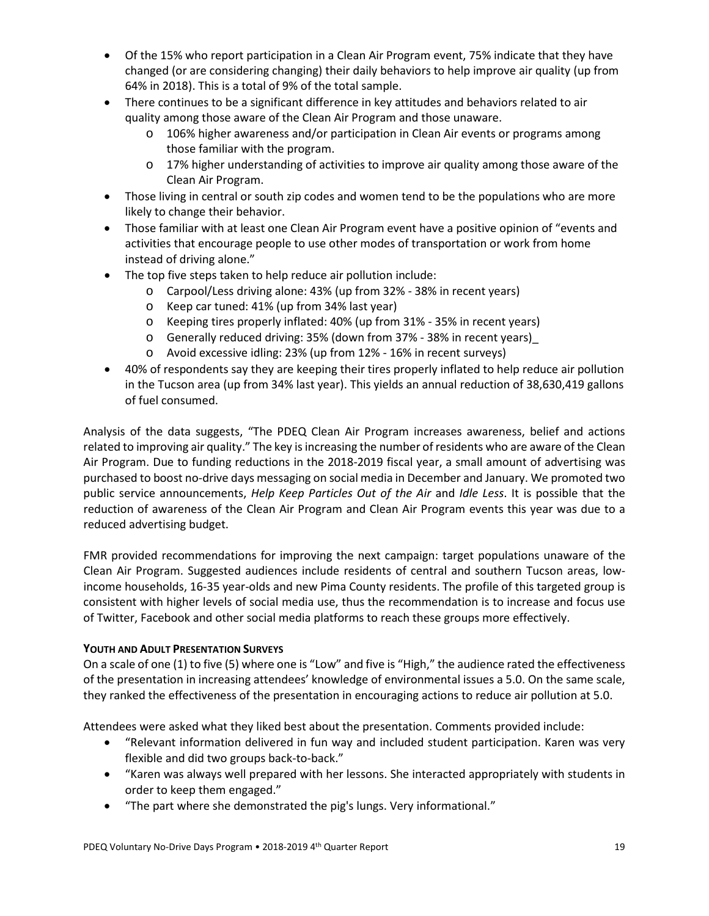- Of the 15% who report participation in a Clean Air Program event, 75% indicate that they have changed (or are considering changing) their daily behaviors to help improve air quality (up from 64% in 2018). This is a total of 9% of the total sample.
- There continues to be a significant difference in key attitudes and behaviors related to air quality among those aware of the Clean Air Program and those unaware.
	- o 106% higher awareness and/or participation in Clean Air events or programs among those familiar with the program.
	- o 17% higher understanding of activities to improve air quality among those aware of the Clean Air Program.
- Those living in central or south zip codes and women tend to be the populations who are more likely to change their behavior.
- Those familiar with at least one Clean Air Program event have a positive opinion of "events and activities that encourage people to use other modes of transportation or work from home instead of driving alone."
- The top five steps taken to help reduce air pollution include:
	- o Carpool/Less driving alone: 43% (up from 32% 38% in recent years)
	- o Keep car tuned: 41% (up from 34% last year)
	- o Keeping tires properly inflated: 40% (up from 31% 35% in recent years)
	- o Generally reduced driving: 35% (down from 37% 38% in recent years)\_
	- o Avoid excessive idling: 23% (up from 12% 16% in recent surveys)
- 40% of respondents say they are keeping their tires properly inflated to help reduce air pollution in the Tucson area (up from 34% last year). This yields an annual reduction of 38,630,419 gallons of fuel consumed.

Analysis of the data suggests, "The PDEQ Clean Air Program increases awareness, belief and actions related to improving air quality." The key is increasing the number of residents who are aware of the Clean Air Program. Due to funding reductions in the 2018-2019 fiscal year, a small amount of advertising was purchased to boost no-drive days messaging on social media in December and January. We promoted two public service announcements, *Help Keep Particles Out of the Air* and *Idle Less*. It is possible that the reduction of awareness of the Clean Air Program and Clean Air Program events this year was due to a reduced advertising budget.

FMR provided recommendations for improving the next campaign: target populations unaware of the Clean Air Program. Suggested audiences include residents of central and southern Tucson areas, lowincome households, 16-35 year-olds and new Pima County residents. The profile of this targeted group is consistent with higher levels of social media use, thus the recommendation is to increase and focus use of Twitter, Facebook and other social media platforms to reach these groups more effectively.

# **YOUTH AND ADULT PRESENTATION SURVEYS**

On a scale of one (1) to five (5) where one is "Low" and five is "High," the audience rated the effectiveness of the presentation in increasing attendees' knowledge of environmental issues a 5.0. On the same scale, they ranked the effectiveness of the presentation in encouraging actions to reduce air pollution at 5.0.

Attendees were asked what they liked best about the presentation. Comments provided include:

- "Relevant information delivered in fun way and included student participation. Karen was very flexible and did two groups back-to-back."
- "Karen was always well prepared with her lessons. She interacted appropriately with students in order to keep them engaged."
- "The part where she demonstrated the pig's lungs. Very informational."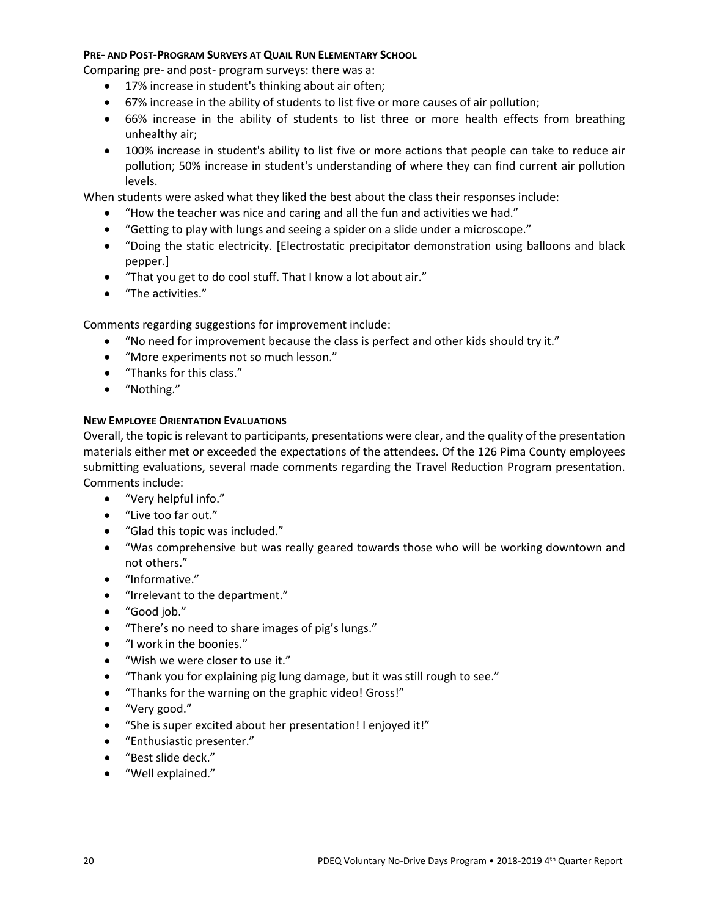#### **PRE- AND POST-PROGRAM SURVEYS AT QUAIL RUN ELEMENTARY SCHOOL**

Comparing pre- and post- program surveys: there was a:

- 17% increase in student's thinking about air often;
- 67% increase in the ability of students to list five or more causes of air pollution;
- 66% increase in the ability of students to list three or more health effects from breathing unhealthy air;
- 100% increase in student's ability to list five or more actions that people can take to reduce air pollution; 50% increase in student's understanding of where they can find current air pollution levels.

When students were asked what they liked the best about the class their responses include:

- "How the teacher was nice and caring and all the fun and activities we had."
- "Getting to play with lungs and seeing a spider on a slide under a microscope."
- "Doing the static electricity. [Electrostatic precipitator demonstration using balloons and black pepper.]
- "That you get to do cool stuff. That I know a lot about air."
- "The activities."

Comments regarding suggestions for improvement include:

- "No need for improvement because the class is perfect and other kids should try it."
- "More experiments not so much lesson."
- "Thanks for this class."
- "Nothing."

# **NEW EMPLOYEE ORIENTATION EVALUATIONS**

Overall, the topic is relevant to participants, presentations were clear, and the quality of the presentation materials either met or exceeded the expectations of the attendees. Of the 126 Pima County employees submitting evaluations, several made comments regarding the Travel Reduction Program presentation. Comments include:

- "Very helpful info."
- "Live too far out."
- "Glad this topic was included."
- "Was comprehensive but was really geared towards those who will be working downtown and not others."
- "Informative."
- "Irrelevant to the department."
- "Good job."
- "There's no need to share images of pig's lungs."
- "I work in the boonies."
- "Wish we were closer to use it."
- "Thank you for explaining pig lung damage, but it was still rough to see."
- "Thanks for the warning on the graphic video! Gross!"
- "Very good."
- "She is super excited about her presentation! I enjoyed it!"
- "Enthusiastic presenter."
- "Best slide deck."
- "Well explained."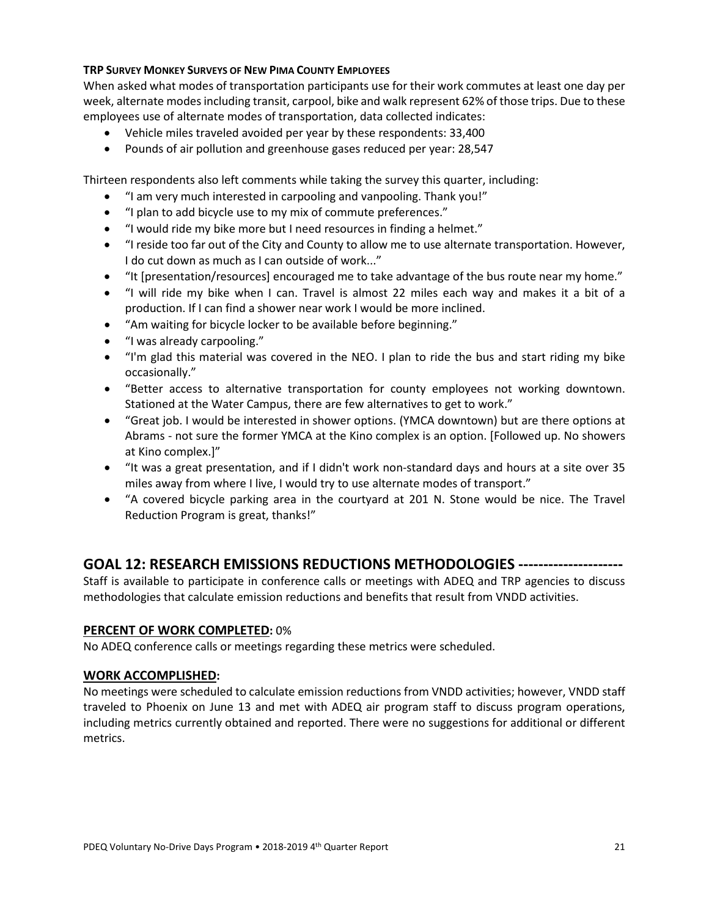# **TRP SURVEY MONKEY SURVEYS OF NEW PIMA COUNTY EMPLOYEES**

When asked what modes of transportation participants use for their work commutes at least one day per week, alternate modes including transit, carpool, bike and walk represent 62% of those trips. Due to these employees use of alternate modes of transportation, data collected indicates:

- Vehicle miles traveled avoided per year by these respondents: 33,400
- Pounds of air pollution and greenhouse gases reduced per year: 28,547

Thirteen respondents also left comments while taking the survey this quarter, including:

- "I am very much interested in carpooling and vanpooling. Thank you!"
- "I plan to add bicycle use to my mix of commute preferences."
- "I would ride my bike more but I need resources in finding a helmet."
- "I reside too far out of the City and County to allow me to use alternate transportation. However, I do cut down as much as I can outside of work..."
- "It [presentation/resources] encouraged me to take advantage of the bus route near my home."
- "I will ride my bike when I can. Travel is almost 22 miles each way and makes it a bit of a production. If I can find a shower near work I would be more inclined.
- "Am waiting for bicycle locker to be available before beginning."
- "I was already carpooling."
- "I'm glad this material was covered in the NEO. I plan to ride the bus and start riding my bike occasionally."
- "Better access to alternative transportation for county employees not working downtown. Stationed at the Water Campus, there are few alternatives to get to work."
- "Great job. I would be interested in shower options. (YMCA downtown) but are there options at Abrams - not sure the former YMCA at the Kino complex is an option. [Followed up. No showers at Kino complex.]"
- "It was a great presentation, and if I didn't work non-standard days and hours at a site over 35 miles away from where I live, I would try to use alternate modes of transport."
- "A covered bicycle parking area in the courtyard at 201 N. Stone would be nice. The Travel Reduction Program is great, thanks!"

# **GOAL 12: RESEARCH EMISSIONS REDUCTIONS METHODOLOGIES ---------------------**

Staff is available to participate in conference calls or meetings with ADEQ and TRP agencies to discuss methodologies that calculate emission reductions and benefits that result from VNDD activities.

# **PERCENT OF WORK COMPLETED:** 0%

No ADEQ conference calls or meetings regarding these metrics were scheduled.

# **WORK ACCOMPLISHED:**

No meetings were scheduled to calculate emission reductions from VNDD activities; however, VNDD staff traveled to Phoenix on June 13 and met with ADEQ air program staff to discuss program operations, including metrics currently obtained and reported. There were no suggestions for additional or different metrics.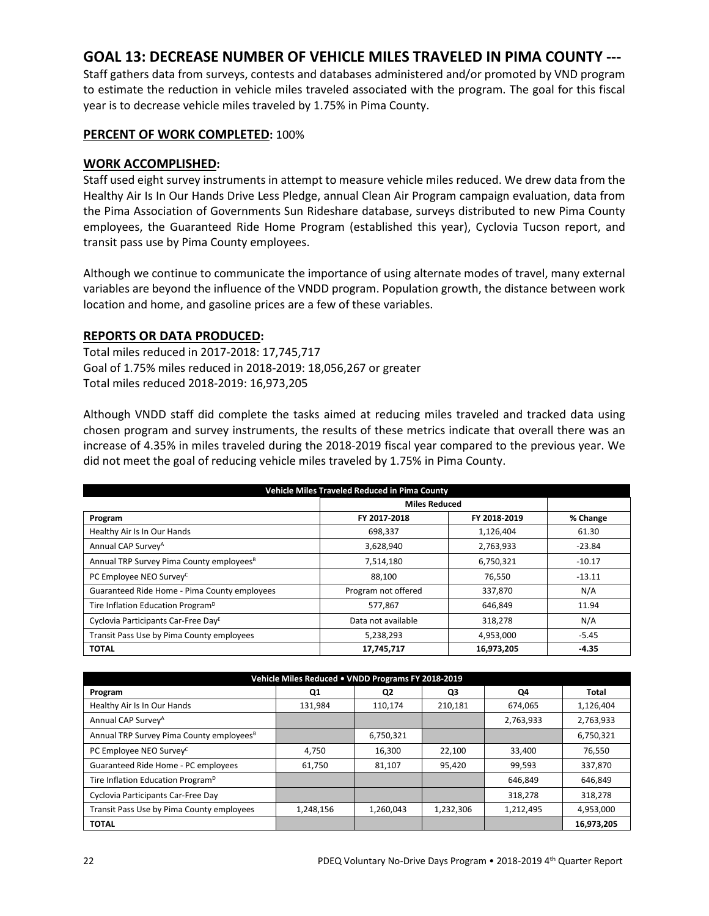# **GOAL 13: DECREASE NUMBER OF VEHICLE MILES TRAVELED IN PIMA COUNTY ---**

Staff gathers data from surveys, contests and databases administered and/or promoted by VND program to estimate the reduction in vehicle miles traveled associated with the program. The goal for this fiscal year is to decrease vehicle miles traveled by 1.75% in Pima County.

#### **PERCENT OF WORK COMPLETED:** 100%

#### **WORK ACCOMPLISHED:**

Staff used eight survey instruments in attempt to measure vehicle miles reduced. We drew data from the Healthy Air Is In Our Hands Drive Less Pledge, annual Clean Air Program campaign evaluation, data from the Pima Association of Governments Sun Rideshare database, surveys distributed to new Pima County employees, the Guaranteed Ride Home Program (established this year), Cyclovia Tucson report, and transit pass use by Pima County employees.

Although we continue to communicate the importance of using alternate modes of travel, many external variables are beyond the influence of the VNDD program. Population growth, the distance between work location and home, and gasoline prices are a few of these variables.

# **REPORTS OR DATA PRODUCED:**

Total miles reduced in 2017-2018: 17,745,717 Goal of 1.75% miles reduced in 2018-2019: 18,056,267 or greater Total miles reduced 2018-2019: 16,973,205

Although VNDD staff did complete the tasks aimed at reducing miles traveled and tracked data using chosen program and survey instruments, the results of these metrics indicate that overall there was an increase of 4.35% in miles traveled during the 2018-2019 fiscal year compared to the previous year. We did not meet the goal of reducing vehicle miles traveled by 1.75% in Pima County.

| <b>Vehicle Miles Traveled Reduced in Pima County</b> |                      |              |          |  |  |
|------------------------------------------------------|----------------------|--------------|----------|--|--|
|                                                      | <b>Miles Reduced</b> |              |          |  |  |
| Program                                              | FY 2017-2018         | FY 2018-2019 | % Change |  |  |
| Healthy Air Is In Our Hands                          | 698,337              | 1,126,404    | 61.30    |  |  |
| Annual CAP Survey <sup>A</sup>                       | 3,628,940            | 2,763,933    | -23.84   |  |  |
| Annual TRP Survey Pima County employees <sup>B</sup> | 7,514,180            | 6,750,321    | $-10.17$ |  |  |
| PC Employee NEO Survey <sup>C</sup>                  | 88,100               | 76,550       | $-13.11$ |  |  |
| Guaranteed Ride Home - Pima County employees         | Program not offered  | 337,870      | N/A      |  |  |
| Tire Inflation Education Program <sup>D</sup>        | 577,867              | 646,849      | 11.94    |  |  |
| Cyclovia Participants Car-Free Day <sup>E</sup>      | Data not available   | 318,278      | N/A      |  |  |
| Transit Pass Use by Pima County employees            | 5,238,293            | 4,953,000    | $-5.45$  |  |  |
| <b>TOTAL</b>                                         | 17,745,717           | 16,973,205   | $-4.35$  |  |  |

| Vehicle Miles Reduced . VNDD Programs FY 2018-2019   |           |                |           |           |            |  |
|------------------------------------------------------|-----------|----------------|-----------|-----------|------------|--|
| Program                                              | Q1        | Q <sub>2</sub> | Q3        | Q4        | Total      |  |
| Healthy Air Is In Our Hands                          | 131,984   | 110.174        | 210,181   | 674,065   | 1,126,404  |  |
| Annual CAP Survey <sup>A</sup>                       |           |                |           | 2,763,933 | 2,763,933  |  |
| Annual TRP Survey Pima County employees <sup>8</sup> |           | 6,750,321      |           |           | 6,750,321  |  |
| PC Employee NEO Survey <sup>C</sup>                  | 4,750     | 16,300         | 22,100    | 33,400    | 76,550     |  |
| Guaranteed Ride Home - PC employees                  | 61,750    | 81,107         | 95,420    | 99,593    | 337,870    |  |
| Tire Inflation Education Program <sup>D</sup>        |           |                |           | 646.849   | 646,849    |  |
| Cyclovia Participants Car-Free Day                   |           |                |           | 318,278   | 318,278    |  |
| Transit Pass Use by Pima County employees            | 1,248,156 | 1,260,043      | 1,232,306 | 1,212,495 | 4,953,000  |  |
| <b>TOTAL</b>                                         |           |                |           |           | 16,973,205 |  |